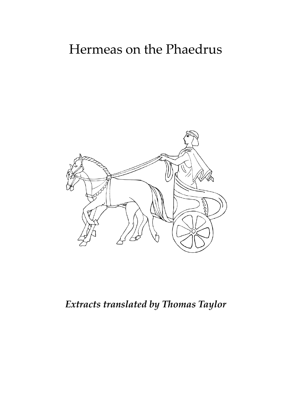## Hermeas on the Phaedrus



*Extracts translated by Thomas Taylor*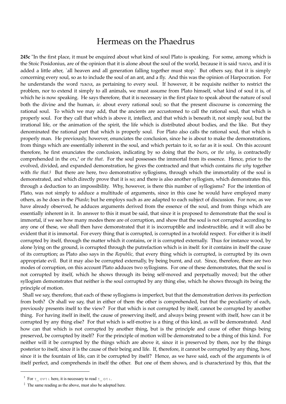## Hermeas on the Phaedrus

**245c** "In the first place, it must be enquired about what kind of soul Plato is speaking. For some, among which is the Stoic Posidonius, are of the opinion that it is alone about the soul of the world, because it is said  $\pi\alpha\sigma\alpha$ , and it is added a little after, `all heaven and all generation falling together must stop.' But others say, that it is simply concerning every soul, so as to include the soul of an ant, and a fly. And this was the opinion of Harpocration. For he understands the word πασα, as pertaining to every soul. If however, it be requisite neither to restrict the problem, nor to extend it simply to all animals, we must assume from Plato himself, what kind of soul it is, of which he is now speaking. He says therefore, that it is necessary in the first place to speak about the nature of soul both the divine and the human, *ie.* about every rational soul; so that the present discourse is concerning the rational soul. To which we may add, that the ancients are accustomed to call the rational soul, that which is properly soul. For they call that which is above it, intellect, and that which is beneath it, not simply soul, but the irrational life, or the animation of the spirit, the life which is distributed about bodies, and the like. But they denominated the rational part that which is properly soul. For Plato also calls the rational soul, that which is properly man. He previously, however, enunciates the conclusion, since he is about to make the demonstrations, from things which are essentially inherent in the soul, and which pertain to it, so far as it is soul. On this account therefore, he first enunciates the conclusion, indicating by so doing that the διoτι, or *the why*, is contractedly comprehended in the oτι, † or *the that*. For the soul possesses the immortal from its essence. Hence, prior to the evolved, divided, and expanded demonstration, he gives the contracted and that which contains *the why* together with *the that*.<sup>†</sup> But there are here, two demonstrative syllogisms, through which the immortality of the soul is demonstrated, and which directly prove that it is so; and there is also another syllogism, which demonstrates this, through a deduction to an impossibility. Why, however, is there this number of syllogisms? For the intention of Plato, was not simply to adduce a multitude of arguments, since in this case he would have employed many others, as he does in the *Phædo*; but he employs such as are adapted to each subject of discussion. For now, as we have already observed, he adduces arguments derived from the essence of the soul, and from things which are essentially inherent in it. In answer to this it must be said, that since it is proposed to demonstrate that the soul is immortal, if we see how many modes there are of corruption, and show that the soul is not corrupted according to any one of these, we shall then have demonstrated that it is incorruptible and indestructible, and it will also be evident that it is immortal. For every thing that is corrupted, is corrupted in a twofold respect. For either it is itself corrupted by itself, through the matter which it contains, or it is corrupted externally. Thus for instance wood, by alone lying on the ground, is corrupted through the putrefaction which is in itself: for it contains in itself the cause of its corruption; as Plato also says in the *Republic,* that every thing which is corrupted, is corrupted by its own appropriate evil. But it may also be corrupted externally, by being burnt, and cut. Since, therefore, there are two modes of corruption, on this account Plato adduces two syllogisms. For one of these demonstrates, that the soul is not corrupted by itself, which he shows through its being self-moved and perpetually moved; but the other syllogism demonstrates that neither is the soul corrupted by any thing else, which he shows through its being the principle of motion.

 Shall we say, therefore, that each of these syllogisms is imperfect, but that the demonstration derives its perfection from both? Or shall we say, that in either of them the other is comprehended, but that the peculiarity of each, previously presents itself to the view? For that which is not corrupted by itself, cannot be corrupted by another thing. For having itself in itself, the cause of preserving itself, and always being present with itself, how can it be corrupted by any thing else? For that which is self-motive is a thing of this kind, as will be demonstrated. And how can that which is not corrupted by another thing, but is the principle and cause of other things being preserved, be corrupted by itself? For the principle of motion will be demonstrated to be a thing of this kind. For neither will it be corrupted by the things which are above it, since it is preserved by them, nor by the things posterior to itself, since it is the cause of their being and life. If, therefore, it cannot be corrupted by any thing, how, since it is the fountain of life, can it be corrupted by itself? Hence, as we have said, each of the arguments is of itself perfect, and comprehends in itself the other. But one of them shows, and is characterized by this, that the

a<br>B

<sup>&</sup>lt;sup>†</sup> For  $\tau$  ovt there, it is necessary to read  $\tau$  ot t.

‡ The same reading as the above, must also be adopted here.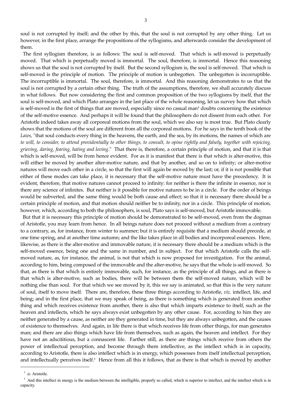The first syllogism therefore, is as follows: The soul is self-moved. That which is self-moved is perpetually moved. That which is perpetually moved is immortal. The soul, therefore, is immortal. Hence this reasoning shows us that the soul is not corrupted by itself. But the second syllogism is, the soul is self-moved. That which is self-moved is the principle of motion. The principle of motion is unbegotten. The unbegotten is incorruptible. The incorruptible is immortal. The soul, therefore, is immortal. And this reasoning demonstrates to us that the soul is not corrupted by a certain other thing. The truth of the assumptions, therefore, we shall accurately discuss in what follows. But now considering the first and common proposition of the two syllogisms by itself, that the soul is self-moved, and which Plato arranges in the last place of the whole reasoning, let us survey how that which is self-moved is the first of things that are moved, especially since no casual man† doubts concerning the existence of the self-motive essence. And perhaps it will be found that the philosophers do not dissent from each other. For Aristotle indeed takes away all corporeal motions from the soul, which we also say is most true. But Plato clearly shows that the motions of the soul are different from all the corporeal motions. For he says in the tenth book of the *Laws*, "that soul conducts every thing in the heavens, the earth, and the sea, by its motions, the names of which are *to will, to consider, to attend providentially to other things, to consult, to opine rightly and falsely, together with rejoicing, grieving, daring, fearing, hating and loving*." That there is, therefore, a certain principle of motion, and that it is that which is self-moved, will be from hence evident. For as it is manifest that there is that which is alter-motive, this will either be moved by another alter-motive nature, and that by another, and so on to infinity; or alter-motive natures will move each other in a circle, so that the first will again be moved by the last; or, if it is not possible that either of these modes can take place, it is necessary that the self-motive nature must have the precedency. It is evident, therefore, that motive natures cannot proceed to infinity: for neither is there the infinite in essence, nor is there any science of infinites. But neither is it possible for motive natures to be in a circle. For the order of beings would be subverted, and the same thing would be both cause and effect; so that it is necessary there should be a certain principle of motion, and that motion should neither be to infinity, nor in a circle. This principle of motion, however, which, according to both the philosophers, is soul, Plato says is self-moved, but Aristotle immovable.

 But that it is necessary this principle of motion should be demonstrated to be self-moved, even from the dogmas of Aristotle, you may learn from hence. In all beings nature does not proceed without a medium from a contrary to a contrary, as, for instance, from winter to summer; but it is entirely requisite that a medium should precede, at one time spring, and at another time autumn; and the like takes place in all bodies and incorporeal essences. Here, likewise, as there is the alter-motive and immovable nature, it is necessary there should be a medium which is the self-moved essence, being one and the same in number, and in subject. For that which Aristotle calls the selfmoved nature, as, for instance, the animal, is not that which is now proposed for investigation. For the animal, according to him, being composed of the immovable and the alter-motive, he says that the whole is self-moved. So that, as there is that which is entirely immovable, such, for instance, as the principle of all things, and as there is that which is alter-motive, such as bodies, there will be between them the self-moved nature, which will be nothing else than soul. For that which we see moved by it, this we say is animated, so that this is the very nature of soul, itself to move itself. There are, therefore, these three things according to Aristotle, *viz.* intellect, life, and being; and in the first place, that we may speak of being, as there is something which is generated from another thing and which receives existence from another, there is also that which imparts existence to itself, such as the heaven and intellects, which he says always exist unbegotten by any other cause. For, according to him they are neither generated by a cause, as neither are they generated in time, but they are always unbegotten, and the causes of existence to themselves. And again, in life there is that which receives life from other things, for man generates man; and there are also things which have life from themselves, such as again, the heaven and intellect. For they have not an adscititious, but a connascent life. Farther still, as there are things which receive from others the power of intellectual perception, and become through them intellective, as the intellect which is in capacity, according to Aristotle, there is also intellect which is in energy, which possesses from itself intellectual perception, and intellectually perceives itself.† Hence from all this it follows, that as there is that which is moved by another

† *ie.* Aristotle.

† And this intellect in energy is the medium between the intelligible, properly so called, which is superior to intellect, and the intellect which is in capacity.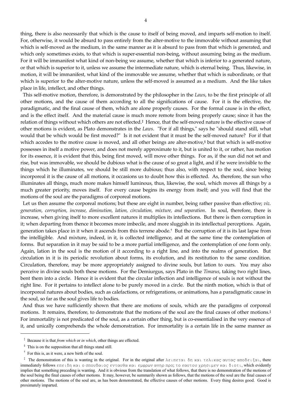thing, there is also necessarily that which is the cause to itself of being moved, and imparts self-motion to itself. For, otherwise, it would be absurd to pass entirely from the alter-motive to the immovable without assuming that which is self-moved as the medium, in the same manner as it is absurd to pass from that which is generated, and which only sometimes exists, to that which is super-essential non-being, without assuming being as the medium. For it will be immanifest what kind of non-being we assume, whether that which is inferior to a generated nature, or that which is superior to it, unless we assume the intermediate nature, which is eternal being. Thus, likewise, in motion, it will be immanifest, what kind of the immovable we assume, whether that which is subordinate, or that which is superior to the alter-motive nature, unless the self-moved is assumed as a medium. And the like takes place in life, intellect, and other things.

 This self-motive motion, therefore, is demonstrated by the philosopher in the *Laws*, to be the first principle of all other motions, and the cause of them according to all the significations of cause. For it is the effective, the paradigmatic, and the final cause of them, which are alone properly causes. For the formal cause is in the effect, and is the effect itself. And the material cause is much more remote from being properly cause; since it has the relation of things without which others are not effected.‡ Hence, that the self-moved nature is the effective cause of other motions is evident, as Plato demonstrates in the *Laws*. "For if all things," says he "should stand still, what would that be which would be first moved?" Is it not evident that it must be the self-moved nature? For if that which accedes to the motive cause is moved, and all other beings are alter-motive,<sup>§</sup> but that which is self-motive possesses in itself a motive power, and does not merely approximate to it, but is united to it, or rather, has motion for its essence, it is evident that this, being first moved, will move other things. For as, if the sun did not set and rise, but was immovable, we should be dubious what is the cause of so great a light, and if he were invisible to the things which he illuminates, we should be still more dubious; thus also, with respect to the soul, since being incorporeal it is the cause of all motions, it occasions us to doubt how this is effected. As, therefore, the sun who illuminates all things, much more makes himself luminous, thus, likewise, the soul, which moves all things by a much greater priority, moves itself. For every cause begins its energy from itself; and you will find that the motions of the soul are the paradigms of corporeal motions.

 Let us then assume the corporeal motions; but these are eight in number, being rather passive than effective; *viz. generation, corruption, increase, diminution, lation, circulation, mixture, and separation*. In soul, therefore, there is increase, when giving itself to more excellent natures it multiplies its intellections. But there is then corruption in it; when departing from thence it becomes more imbecile, and more sluggish in its intellectual perceptions. Again, generation takes place in it when it ascends from this terrene abode.† But the corruption of it is its last lapse from the intelligible. And mixture, indeed, in it, is collected intelligence, and at the same time the contemplation of forms. But separation in it may be said to be a more partial intelligence, and the contemplation of one form only. Again, lation in the soul is the motion of it according to a right line, and into the realms of generation. But circulation in it is its periodic revolution about forms, its evolution, and its restitution to the same condition. Circulation, therefore, may be more appropriately assigned to divine souls, but lation to ours. You may also perceive in divine souls both these motions. For the Demiurgus, says Plato in the *Timæus*, taking two right lines, bent them into a circle. Hence it is evident that the circular inflection and intelligence of souls is not without the right line. For it pertains to intellect alone to be purely moved in a circle. But the ninth motion, which is that of incorporeal natures about bodies, such as calefactions, or refrigerations, or animations, has a paradigmatic cause in the soul, so far as the soul gives life to bodies.

 And thus we have sufficiently shown that there are motions of souls, which are the paradigms of corporeal motions. It remains, therefore, to demonstrate that the motions of the soul are the final causes of other motions.‡ For immortality is not predicated of the soul, as a certain other thing, but is co-essentialised in the very essence of it, and unically comprehends the whole demonstration. For immortality is a certain life in the same manner as

a<br>B

‡ Because it is that *from which* or *in which*, other things are effected.

 <sup>§</sup> This is on the supposition that all things stand still.

† For this is, as it were, a new birth of the soul.

<sup>&</sup>lt;sup>‡</sup> The demonstration of this is wanting in the original. For in the original after λειπεται δη και τελικας αυτας αποδειξαι, there immediately follows επειδη και o σπoυδαιoς εvταυθα και εμφρωv αvηρ πρo; τo εαυτoυ χρησιμεv και διoτι, which evidently implies that something preceding is wanting. And it is obvious from the translation of what follows, that there is no demonstration of the motions of the soul being the final causes of other motions. It may, however, be summarily shown as follows, that the motions of the soul are the final causes of other motions. The motions of the soul are, as has been demonstrated, the effective causes of other motions. Every thing desires good. Good is proximately imparted.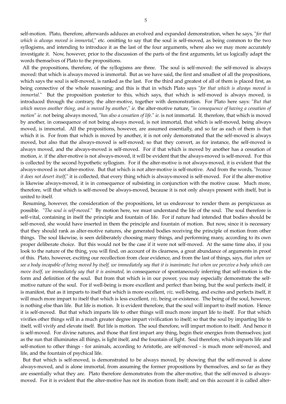self-motion. Plato, therefore, afterwards adduces an evolved and expanded demonstration, when he says, "*for that which is always moved is immortal*," etc. omitting to say that the soul is self-moved, as being common to the two syllogisms, and intending to introduce it as the last of the four arguments, where also we may more accurately investigate it. Now, however, prior to the discussion of the parts of the first arguments, let us logically adapt the words themselves of Plato to the propositions.

 All the propositions, therefore, of the syllogisms are three. The soul is self-moved: the self-moved is always moved: that which is always moved is immortal. But as we have said, the first and smallest of all the propositions, which says the soul is self-moved, is ranked as the last. For the third and greatest of all of them is placed first, as being connective of the whole reasoning; and this is that in which Plato says "*for that which is always moved is immortal.*" But the proposition posterior to this, which says, that which is self-moved is always moved, is introduced through the contrary, the alter-motive, together with demonstration. For Plato here says: "*But that which moves another thing, and is moved by another*," *ie.* the alter-motive nature, "*in consequence of having a cessation of motion*" *ie.* not being always moved, "*has also a cessation of life*." *ie.* is not immortal. If, therefore, that which is moved by another, in consequence of not being always moved, is not immortal, that which is self-moved, being always moved, is immortal. All the propositions, however, are assumed essentially, and so far as each of them is that which it is. For from that which is moved by another, it is not only demonstrated that the self-moved is always moved, but also that the always-moved is self-moved; so that they convert, as for instance, the self-moved is always moved, and the always-moved is self-moved. For if that which is moved by another has a cessation of motion, *ie.* if the alter-motive is not always-moved, it will be evident that the always-moved is self-moved. For this is collected by the second hypothetic syllogism. For if the alter-motive is not always-moved, it is evident that the always-moved is not alter-motive. But that which is not alter-motive is self-motive. And from the words, "*because it does not desert itself*," it is collected, that every thing which is always-moved is self-moved. For if the alter-motive is likewise always-moved, it is in consequence of subsisting in conjunction with the motive cause. Much more, therefore, will that which is self-moved be always-moved, because it is not only always present with itself, but is united to itself.

 Resuming, however, the consideration of the propositions, let us endeavour to render them as perspicuous as possible. "*The soul is self-moved*." By motion here, we must understand the life of the soul. The soul therefore is self-vital, containing in itself the principle and fountain of life. For if nature had intended that bodies should be self-moved, she would have inserted in them the principle and fountain of motion. But now, since it is necessary that they should rank as alter-motive natures, she generated bodies receiving the principle of motion from other things. The soul likewise, is seen deliberately choosing many things, and performing many, according to its own proper deliberate choice. But this would not be the case if it were not self-moved. At the same time also, if you look to the nature of the thing, you will find, on account of its clearness, a great abundance of arguments in proof of this. Plato, however, exciting our recollection from clear evidence, and from the last of things, says, *that when we see a body incapable of being moved by itself, we immediately say that it is inanimate; but when we perceive a body which can move itself, we immediately say that it is animated,* in consequence of spontaneously inferring that self-motion is the form and definition of the soul. But from that which is in our power, you may especially demonstrate the selfmotive nature of the soul. For if well-being is more excellent and perfect than being, but the soul perfects itself, it is manifest, that as it imparts to itself that which is more excellent, *viz*. well-being, and excites and perfects itself, it will much more impart to itself that which is less excellent, *viz*. being or existence. The being of the soul, however, is nothing else than life. But life is motion. It is evident therefore, that the soul will impart to itself motion. Hence it is self-moved. But that which imparts life to other things will much more impart life to itself. For that which vivifies other things will in a much greater degree impart vivification to itself; so that the soul by imparting life to itself, will vivify and elevate itself. But life is motion. The soul therefore, will impart motion to itself. And hence it is self-moved. For divine natures, and those that first impart any thing, begin their energies from themselves; just as the sun that illuminates all things, is light itself, and the fountain of light. Soul therefore, which imparts life and self-motion to other things - for animals, according to Aristotle, are self-moved - is much more self-moved, and life, and the fountain of psychical life.

 But that which is self-moved, is demonstrated to be always moved, by showing that the self-moved is alone always-moved, and is alone immortal, from assuming the former propositions by themselves, and so far as they are essentially what they are. Plato therefore demonstrates from the alter-motive, that the self-moved is alwaysmoved. For it is evident that the alter-motive has not its motion from itself; and on this account it is called alter-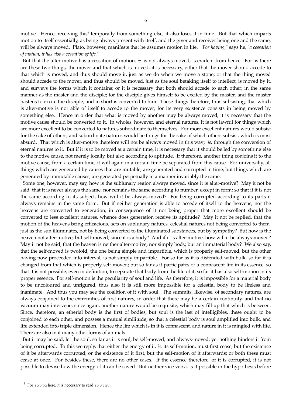motive. Hence, receiving this<sup>†</sup> temporally from something else, it also loses it in time. But that which imparts motion to itself essentially, as being always present with itself, and the giver and receiver being one and the same, will be always moved. Plato, however, manifests that he assumes motion in life. "*For having,*" says he, "*a cessation of motion, it has also a cessation of life.*"

 But that the alter-motive has a cessation of motion, *ie.* is not always moved, is evident from hence. For as there are these two things, the mover and that which is moved, it is necessary, either that the mover should accede to that which is moved, and thus should move it, just as we do when we move a stone; or that the thing moved should accede to the mover, and thus should be moved, just as the soul betaking itself to intellect, is moved by it, and surveys the forms which it contains; or it is necessary that both should accede to each other; in the same manner as the master and the disciple; for the disciple gives himself to be excited by the master, and the master hastens to excite the disciple, and in short is converted to him. These things therefore, thus subsisting, that which is alter-motive is not able of itself to accede to the mover; for its very existence consists in being moved by something else. Hence in order that what is moved by another may be always moved, it is necessary that the motive cause should be converted to it. In wholes, however, and eternal natures, it is not lawful for things which are more excellent to be converted to natures subordinate to themselves. For more excellent natures would subsist for the sake of others, and subordinate natures would be things for the sake of which others subsist, which is most absurd. That which is alter-motive therefore will not be always moved in this way; *ie.* through the conversion of eternal natures to it. But if it is to be moved at a certain time, it is necessary that it should be led by something else to the motive cause, not merely locally, but also according to aptitude. If therefore, another thing conjoins it to the motive cause, from a certain time, it will again in a certain time be separated from this cause. For universally, all things which are generated by causes that are mutable, are generated and corrupted in time; but things which are generated by immutable causes, are generated perpetually in a manner invariably the same.

 Some one, however, may say, how is the sublunary region always moved, since it is alter-motive? May it not be said, that it is never always the same, nor remains the same according to number, except in form; so that if it is not the same according to its subject, how will it be always-moved? For being corrupted according to its parts it always remains in the same form. But if neither generation is able to accede of itself to the heavens, nor the heavens are converted to generation, in consequence of it not being proper that more excellent should be converted to less excellent natures, whence does generation receive its aptitude? May it not be replied, that the motion of the heavens being efficacious, acts on sublunary natures, celestial natures not being converted to them, just as the sun illuminates, not by being converted to the illuminated substances, but by sympathy? But how is the heaven not alter-motive, but self-moved, since it is a body? And if it is alter-motive, how will it be always-moved? May it not be said, that the heaven is neither alter-motive, nor simply body, but an immaterial body? We also say, that the self-moved is twofold, the one being simple and impartible, which is properly self-moved, but the other having now proceeded into interval, is not simply impartible. For so far as it is distended with bulk, so far it is changed from that which is properly self-moved; but so far as it participates of a connascent life in its essence, so that it is not possible, even in definition, to separate that body from the life of it, so far it has also self-motion in its proper essence. For self-motion is the peculiarity of soul and life. As therefore, it is impossible for a material body to be uncoloured and unfigured, thus also it is still more impossible for a celestial body to be lifeless and inanimate. And thus you may see the coalition of it with soul. The summits, likewise, of secondary natures, are always conjoined to the extremities of first natures, in order that there may be a certain continuity, and that no vacuum may intervene; since again, another nature would be requisite, which may fill up that which is between. Since, therefore, an etherial body is the first of bodies, but soul is the last of intelligibles, these ought to be conjoined to each other, and possess a mutual similitude; so that a celestial body is soul amplified into bulk, and life extended into triple dimension. Hence the life which is in it is connascent, and nature in it is mingled with life. There are also in it many other forms of animals.

 But it may be said, let the soul, so far as it is soul, be self-moved, and always-moved, yet nothing hinders it from being corrupted. To this we reply, that either the energy of it, *ie.* its self-motion, must first cease, but the existence of it be afterwards corrupted; or the existence of it first, but the self-motion of it afterwards; or both these must cease at once. For besides these, there are no other cases. If the essence therefore, of it is corrupted, it is not possible to devise how the energy of it can be saved. But neither vice versa, is it possible in the hypothesis before

a<br>B

<sup>&</sup>lt;sup>†</sup> For ταυτα here, it is necessary to read ταυτην.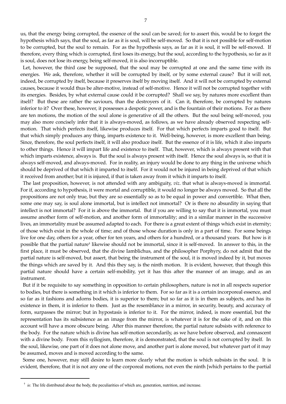Let, however, the third case be supposed, that the soul may be corrupted at one and the same time with its energies. We ask, therefore, whether it will be corrupted by itself, or by some external cause? But it will not, indeed, be corrupted by itself, because it preserves itself by moving itself. And it will not be corrupted by external causes, because it would thus be alter-motive, instead of self-motive. Hence it will not be corrupted together with its energies. Besides, by what external cause could it be corrupted? Shall we say, by natures more excellent than itself? But these are rather the saviours, than the destroyers of it. Can it, therefore, be corrupted by natures inferior to it? Over these, however, it possesses a despotic power, and is the fountain of their motions. For as there are ten motions, the motion of the soul alone is generative of all the others. But the soul being self-moved, you may also more concisely infer that it is always-moved, as follows, as we have already observed respecting selfmotion. That which perfects itself, likewise produces itself. For that which perfects imparts good to itself. But that which simply produces any thing, imparts existence to it. Well-being, however, is more excellent than being. Since, therefore, the soul perfects itself, it will also produce itself. But the essence of it is life, which it also imparts to other things. Hence it will impart life and existence to itself. That, however, which is always present with that which imparts existence, always is. But the soul is always present with itself. Hence the soul always is, so that it is always self-moved, and always-moved. For in reality, an injury would be done to any thing in the universe which should be deprived of that which it imparted to itself. For it would not be injured in being deprived of that which it received from another; but it is injured, if that is taken away from it which it imparts to itself.

 The last proposition, however, is not attended with any ambiguity, *viz*. that what is always-moved is immortal. For if, according to hypothesis, it were mortal and corruptible, it would no longer be always moved. So that all the propositions are not only true, but they are so essentially so as to be equal in power and convertible. What then, some one may say, is soul alone immortal, but is intellect not immortal? Or is there no absurdity in saying that intellect is not immortal? For it is above the immortal. But if you are willing to say that it is immortal, you must assume another form of self-motion, and another form of immortality; and in a similar manner in the successive lives, an immortality must be assumed adapted to each. For there is a great extent of things which exist in eternity; of those which exist in the whole of time; and of those whose duration is only in a part of time. For some beings live for one day, others for a year, other for ten years, and others for a hundred, or a thousand years. But how is it possible that the partial nature† likewise should not be immortal, since it is self-moved. In answer to this, in the first place, it must be observed, that the divine Iamblichus, and the philosopher Porphyry, do not admit that the partial nature is self-moved, but assert, that being the instrument of the soul, it is moved indeed by it, but moves the things which are saved by it. And this they say, is the ninth motion. It is evident, however, that though this partial nature should have a certain self-mobility, yet it has this after the manner of an image, and as an instrument.

 But if it be requisite to say something in opposition to certain philosophers, nature is not in all respects superior to bodies, but there is something in it which is inferior to them. For so far as it is a certain incorporeal essence, and so far as it fashions and adorns bodies, it is superior to them; but so far as it is in them as subjects, and has its existence in them, it is inferior to them. Just as the resemblance in a mirror, in security, beauty, and accuracy of form, surpasses the mirror; but in hypostasis is inferior to it. For the mirror, indeed, is more essential, but the representation has its subsistence as an image from the mirror, is whatever it is for the sake of it, and on this account will have a more obscure being. After this manner therefore, the partial nature subsists with reference to the body. For the nature which is divine has self-motion secondarily, as we have before observed, and connascent with a divine body. From this syllogism, therefore, it is demonstrated, that the soul is not corrupted by itself. In the soul, likewise, one part of it does not alone move, and another part is alone moved, but whatever part of it may be assumed, moves and is moved according to the same.

 Some one, however, may still desire to learn more clearly what the motion is which subsists in the soul. It is evident, therefore, that it is not any one of the corporeal motions, not even the ninth [which pertains to the partial

a<br>B

<sup>&</sup>lt;sup> $\dagger$ </sup> *ie.* The life distributed about the body, the peculiarities of which are, generation, nutrition, and increase.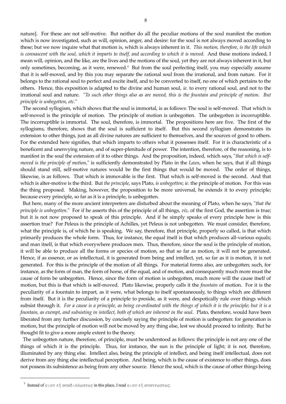nature]. For these are not self-motive. But neither do all the peculiar motions of the soul manifest the motion which is now investigated, such as will, opinion, anger, and desire: for the soul is not always moved according to these; but we now inquire what that motion is, which is always inherent in it. *This motion, therefore, is the life which is connascent with the soul, which it imparts to itself, and according to which it is moved.* And these motions indeed, I mean will, opinion, and the like, are the lives and the motions of the soul, yet they are not always inherent in it, but only sometimes, becoming, as it were, renewed.† But from the soul perfecting itself, you may especially assume that it is self-moved, and by this you may separate the rational soul from the irrational, and from nature. For it belongs to the rational soul to perfect and excite itself, and to be converted to itself, no one of which pertains to the others. Hence, this exposition is adapted to the divine and human soul, *ie.* to every rational soul, and not to the irrational soul and nature. "*To such other things also as are moved, this is the fountain and principle of motion. But principle is unbegotten, etc.*"

 The second syllogism, which shows that the soul is immortal, is as follows: The soul is self-moved. That which is self-moved is the principle of motion. The principle of motion is unbegotten. The unbegotten is incorruptible. The incorruptible is immortal. The soul, therefore, is immortal. The propositions here are five. The first of the syllogisms, therefore, shows that the soul is sufficient to itself. But this second syllogism demonstrates its extension to other things, just as all divine natures are sufficient to themselves, and the sources of good to others. For the extended here signifies, that which imparts to others what it possesses itself. For it is characteristic of a beneficent and unenvying nature, and of super-plenitude of power. The intention, therefore, of the reasoning, is to manifest in the soul the extension of it to other things. And the proposition, indeed, which says, "*that which is selfmoved is the principle of motion*," is sufficiently demonstrated by Plato in the *Laws*, when he says, that if all things should stand still, self-motive natures would be the first things that would be moved. The order of things, likewise, is as follows. That which is immovable is the first. That which is self-moved is the second. And that which is alter-motive is the third. But *the principle*, says Plato, *is unbegotten*; *ie.* the principle of motion. For this was the thing proposed. Making, however, the proposition to be more universal, he extends it to every principle; because every principle, so far as it is a principle, is unbegotten.

 But here, many of the more ancient interpreters are disturbed about the meaning of Plato, when he says, "*that the principle is unbegotten*." For if he asserts this of the principle of all things, *viz*. of the first God, the assertion is true; but it is not now proposed to speak of this principle. And if he simply speaks of every principle how is this assertion true? For Peleus is the principle of Achilles, yet Peleus is not unbegotten. We must consider, therefore, what the principle is, of which he is speaking. We say, therefore, that principle, properly so called, is that which primarily produces the whole form. Thus, for instance, the equal itself is that which produces all-various equals; and man itself, is that which everywhere produces men. Thus, therefore, since the soul is the principle of motion, it will be able to produce all the forms or species of motion, so that so far as motion, it will not be generated. Hence, if as essence, or as intellectual, it is generated from being and intellect, yet, so far as it is motion, it is not generated. For this is the principle of the motion of all things. For material forms also, are unbegotten; such, for instance, as the form of man, the form of horse, of the equal, and of motion, and consequently much more must the cause of form be unbegotten. Hence, since the form of motion is unbegotten, much more will the cause itself of motion, but this is that which is self-moved. Plato likewise, properly calls it the *fountain* of motion. For it is the peculiarity of a fountain to impart, as it were, what belongs to itself spontaneously, to things which are different from itself. But it is the peculiarity of a principle to preside, as it were, and despotically rule over things which subsist through it. *For a cause is a principle, as being co-ordinated with the things of which it is the principle; but it is a*  fountain, as exempt, and subsisting in intellect, both of which are inherent in the soul. Plato, therefore, would have been liberated from any further discussion, by concisely saying the principle of motion is unbegotten: for generation is motion, but the principle of motion will not be moved by any thing else, lest we should proceed to infinity. But he thought fit to give a more ample extent to the theory.

 The unbegotten nature, therefore, of principle, must be understood as follows: the principle is not any one of the things of which it is the principle. Thus, for instance, the sun is the principle of light; it is not, therefore, illuminated by any thing else. Intellect also, being the principle of intellect, and being itself intellectual, does not derive from any thing else intellectual perception. And being, which is the cause of existence to other things, does not possess its subsistence as being from any other source. Hence the soul, which is the cause of other things being

† Instead of oιov εξ αvαδιπλωσεως in this place, I read oιov εξ αvαvεωσεως.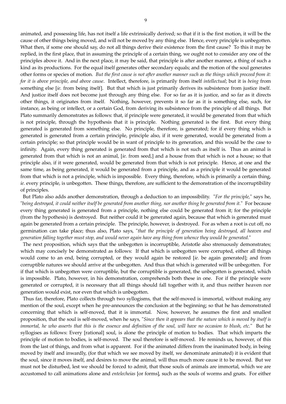animated, and possessing life, has not itself a life extrinsically derived; so that if it is the first motion, it will be the cause of other things being moved, and will not be moved by any thing else. Hence, every principle is unbegotten. What then, if some one should say, do not all things derive their existence from the first cause? To this it may be replied, in the first place, that in assuming the principle of a certain thing, we ought not to consider any one of the principles above it. And in the next place, it may be said, that principle is after another manner, a thing of such a kind as its productions. For the equal itself generates other secondary equals; and the motion of the soul generates other forms or species of motion. *But the first cause is not after another manner such as the things which proceed from it: for it is above principle, and above cause*. Intellect, therefore, is primarily from itself *intellectual*; but it is *being* from something else [*ie.* from being itself]. But that which is just primarily derives its subsistence from justice itself. And justice itself does not become just through any thing else. For so far as it is justice, and so far as it directs other things, it originates from itself. Nothing, however, prevents it so far as it is something else, such, for instance, as being or intellect, or a certain God, from deriving its subsistence from the principle of all things. But Plato summarily demonstrates as follows: that, if principle were generated, it would be generated from that which is not principle, through the hypothesis that it is principle. Nothing generated is the first. But every thing generated is generated from something else. No principle, therefore, is generated; for if every thing which is generated is generated from a certain principle, principle also, if it were generated, would be generated from a certain principle; so that principle would be in want of principle to its generation, and this would be the case to infinity. Again, every thing generated is generated from that which is not such as itself is. Thus an animal is generated from that which is not an animal, [*ie.* from seed,] and a house from that which is not a house; so that principle also, if it were generated, would be generated from that which is not principle. Hence, at one and the same time, as being generated, it would be generated from a principle, and as a principle it would be generated from that which is not a principle, which is impossible. Every thing, therefore, which is primarily a certain thing, *ie.* every principle, is unbegotten. These things, therefore, are sufficient to the demonstration of the incorruptibility of principles.

 But Plato also adds another demonstration, through a deduction to an impossibility. "*For the principle,*" says he, "*being destroyed, it could neither itself be generated from another thing, nor another thing be generated from it.*" For because every thing generated is generated from a principle, nothing else could be generated from it; for the principle (from the hypothesis) is destroyed. But neither could it be generated again, because that which is generated must again be generated from a certain principle. The principle, however, is destroyed. For as when a root is cut off, no germination can take place; thus also, Plato says, "*that the principle of generation being destroyed, all heaven and generation falling together must stop, and would never again have any thing from whence they would be generated.*"

 The next proposition, which says that the unbegotten is incorruptible, Aristotle also strenuously demonstrates; which may concisely be demonstrated as follows: If that which is unbegotten were corrupted, either all things would come to an end, being corrupted, or they would again be restored [*ie.* be again generated]; and from corruptible natures we should arrive at the unbegotten. And thus that which is generated will be unbegotten. For if that which is unbegotten were corruptible, but the corruptible is generated, the unbegotten is generated, which is impossible. Plato, however, in his demonstration, comprehends both these in one. For if the principle were generated or corrupted, it is necessary that all things should fall together with it, and thus neither heaven nor generation would exist, nor even that which is unbegotten.

 Thus far, therefore, Plato collects through two syllogisms, that the self-moved is immortal, without making any mention of the soul, except when he pre-announces the conclusion at the beginning; so that he has demonstrated concerning that which is self-moved, that it is immortal. Now, however, he assumes the first and smallest proposition, that the soul is self-moved, when he says, "*Since then it appears that the nature which is moved by itself is immortal, he who asserts that this is the essence and definition of the soul, will have no occasion to blush, etc.*" But he syllogises as follows: Every [rational] soul, is alone the principle of motion to bodies. That which imparts the principle of motion to bodies, is self-moved. The soul therefore is self-moved. He reminds us, however, of this from the last of things, and from what is apparent. For if the animated differs from the inanimated body, in being moved by itself and inwardly, (for that which we see moved by itself, we denominate animated) it is evident that the soul, since it moves itself, and desires to move the animal, will thus much more cause it to be moved. But we must not be disturbed, lest we should be forced to admit, that those souls of animals are immortal, which we are accustomed to call animations alone and *entelecheias* [or forms], such as the souls of worms and gnats. For either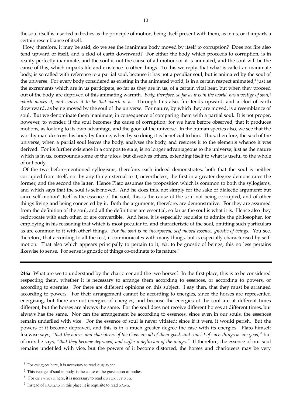the soul itself is inserted in bodies as the principle of motion, being itself present with them, as in us, or it imparts a certain resemblance of itself.

 How, therefore, it may be said, do we see the inanimate body moved by itself to corruption? Does not fire also tend upward of itself, and a clod of earth downward? For either the body which proceeds to corruption, is in reality perfectly inanimate, and the soul is not the cause of all motion; or it is animated, and the soul will be the cause of this, which imparts life and existence to other things. To this we reply, that what is called an inanimate body, is so called with reference to a partial soul, because it has not a peculiar soul, but is animated by the soul of the universe. For every body considered as existing in the animated world, is in a certain respect animated;† just as the excrements which are in us participate, so far as they are in us, of a certain vital heat, but when they proceed out of the body, are deprived of this animating warmth. *Body, therefore, so far as it is in the world, has a vestige of soul,*‡ *which moves it, and causes it to be that which it is.* Through this also, fire tends upward, and a clod of earth downward, as being moved by the soul of the universe. For nature, by which they are moved, is a resemblance of soul. But we denominate them inanimate, in consequence of comparing them with a partial soul. It is not proper, however, to wonder, if the soul becomes the cause of corruption; for we have before observed, that it produces motions, as looking to its own advantage, and the good of the universe. In the human species also, we see that the worthy man destroys his body by famine, when by so doing it is beneficial to him. Thus, therefore, the soul of the universe, when a partial soul leaves the body, analyses the body, and restores it to the elements whence it was derived. For its further existence in a composite state, is no longer advantageous to the universe; just as the nature which is in us, compounds some of the juices, but dissolves others, extending itself to what is useful to the whole of out body.

 Of the two before-mentioned syllogisms, therefore, each indeed demonstrates, both that the soul is neither corrupted from itself, nor by any thing external to it; nevertheless, the first in a greater degree demonstrates the former, and the second the latter. Hence Plato assumes the proposition which is common to both the syllogisms, and which says that the soul is self-moved. And he does this, not simply for the sake of dialectic argument; but since self-motion† itself is the essence of the soul, this is the cause of the soul not being corrupted, and of other things living and being connected by it. Both the arguments, therefore, are demonstrative. For they are assumed from the definition of the soul, and all the definitions are essential, so far as the soul is what it is. Hence also they reciprocate with each other, or are convertible. And here, it is especially requisite to admire the philosopher, for employing in his reasoning that which is most peculiar to, and characteristic of the soul, omitting such particulars as are common to it with other‡ things. For *the soul is an incorporeal, self-moved essence, gnostic of beings*. You see, therefore, that according to all the rest, it communicates with many things, but is especially characterised by selfmotion. That also which appears principally to pertain to it, *viz*. to be gnostic of beings, this no less pertains likewise to sense. For sense is gnostic of things co-ordinate to its nature."

**246a** What are we to understand by the charioteer and the two horses? In the first place, this is to be considered respecting them, whether it is necessary to arrange them according to essences, or according to powers, or according to energies. For there are different opinions on this subject. I say then, that they must be arranged according to powers. For their arrangement cannot be according to energies, since the horses are represented energizing, but there are not energies of energies; and because the energies of the soul are at different times different, but the horses are always the same. For the soul does not receive different horses at different times, but always has the same. Nor can the arrangement be according to essences, since even in our souls, the essences remain undefiled with vice. For the essence of soul is never vitiated; since if it were, it would perish. But the powers of it become depraved, and this is in a much greater degree the case with its energies. Plato himself likewise says, *"that the horses and charioteers of the Gods are all of them good, and consist of such things as are good;"* but of ours he says, *"that they become depraved, and suffer a defluxion of the wings."* If therefore, the essence of our soul remains undefiled with vice, but the powers of it become distorted, the horses and charioteers may be very

<sup>&</sup>lt;sup>†</sup> For  $\alpha \psi \nu \chi$  ov here, it is necessary to read  $\varepsilon \mu \psi \nu \chi$  ov.

‡ This vestige of soul in body, is the cause of the gravitation of bodies.

<sup>&</sup>lt;sup>†</sup> For  $\alpha$ κινησια here, it is necessary to read  $\alpha$ υτοκινησια.

<sup>&</sup>lt;sup>‡</sup> Instead of  $\alpha\lambda\lambda\eta\lambda\alpha$  in this place, it is requisite to read  $\alpha\lambda\lambda\alpha$ .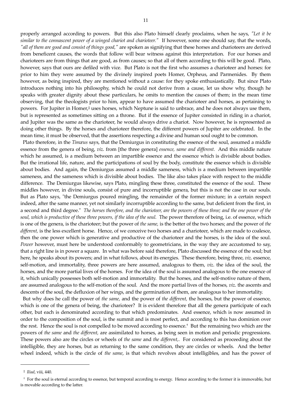properly arranged according to powers. But this also Plato himself clearly proclaims, when he says, *"Let it be similar to the connascent power of a winged chariot and charioteer."* If however, some one should say, that the words, *"all of them are good and consist of things good,"* are spoken as signifying that these horses and charioteers are derived from beneficent causes, the words that follow will bear witness against this interpretation. For our horses and charioteers are from things that are good, as from causes; so that all of them according to this will be good. Plato, however, says that ours are defiled with vice. But Plato is not the first who assumes a charioteer and horses: for prior to him they were assumed by the divinely inspired poets Homer, Orpheus, and Parmenides. By them however, as being inspired, they are mentioned without a cause: for they spoke enthusiastically. But since Plato introduces nothing into his philosophy, which he could not derive from a cause, let us show why, though he speaks with greater dignity about these particulars, he omits to mention the causes of them; in the mean time observing, that the theologists prior to him, appear to have assumed the charioteer and horses, as pertaining to powers. For Jupiter in Homer,‡ uses horses, which Neptune is said to unbrace, and he does not always use them, but is represented as sometimes sitting on a throne. But if the essence of Jupiter consisted in riding in a chariot, and Jupiter was the same as the charioteer, he would always drive a chariot. Now however, he is represented as doing other things. By the horses and charioteer therefore, the different powers of Jupiter are celebrated. In the mean time, it must be observed, that the assertions respecting a divine and human soul ought to be common.

 Plato therefore, in the *Timæus* says, that the Demiurgus in constituting the essence of the soul, assumed a middle essence from the genera of being, *viz*. from [the three genera] *essence, same and different.* And this middle nature which he assumed, is a medium between an impartible essence and the essence which is divisible about bodies. But the irrational life, nature, and the participations of soul by the body, constitute the essence which is divisible about bodies. And again, the Demiurgus assumed a middle sameness, which is a medium between impartible sameness, and the sameness which is divisible about bodies. The like also takes place with respect to the middle difference. The Demiurgus likewise, says Plato, mingling these three, constituted the essence of the soul. These middles however, in divine souls, consist of pure and incorruptible genera, but this is not the case in our souls. But as Plato says, "the Demiurgus poured mingling, the remainder of the former mixture; in a certain respect indeed, after the same manner, yet not similarly incorruptible according to the same, but deficient from the first, in a second and third degree." *The horses therefore, and the charioteer, are the powers of these three; and the one power of the soul, which is productive of these three powers, if the idea of the soul.* The power therefore of being, i.e. of essence, which is one of the genera, is the charioteer; but the power of *the same,* is the better of the two horses; and the power of *the different,* is the less excellent horse. Hence, of we conceive two horses and a charioteer, which are made to coalesce, then the one power which is generative and productive of the charioteer and the horses, is the idea of the soul. *Power* however, must here be understood conformably to geometricians, in the way they are accustomed to say, that a right line is in power a square. In what was before said therefore, Plato discussed the essence of the soul; but here, he speaks about its powers; and in what follows, about its energies. These therefore, being three, *viz*. essence, self-motion, and immortality, three powers are here assumed, analogous to them, *viz*. the idea of the soul, the horses, and the more partial lives of the horses. For the idea of the soul is assumed analogous to the one essence of it, which unically possesses both self-motion and immortality. But the horses, and the self-motive nature of them, are assumed analogous to the self-motion of the soul. And the more partial lives of the horses, *viz*. the ascents and descents of the soul, the defluxion of her wings, and the germination of them, are analogous to her immortality.

 But why does he call the power of *the same,* and the power of *the different,* the horses, but the power of essence, which is one of the genera of being, the charioteer? It is evident therefore that all the genera participate of each other, but each is denominated according to that which predominates. And essence, which is now assumed in order to the composition of the soul, is the summit and is most perfect, and according to this has dominion over the rest. Hence the soul is not compelled to be moved according to essence.† But the remaining two which are the powers of *the same* and *the different,* are assimilated to horses, as being seen in motion and periodic progressions. These powers also are the circles or wheels of *the same* and *the different,*. For considered as proceeding about the intelligible, they are horses, but as returning to the same condition, they are circles or wheels. And the better wheel indeed, which is the circle of *the same*, is that which revolves about intelligibles, and has the power of

‡ *Iliad*, viii, 440.

† For the soul is eternal according to essence, but temporal according to energy. Hence according to the former it is immovable, but is movable according to the latter.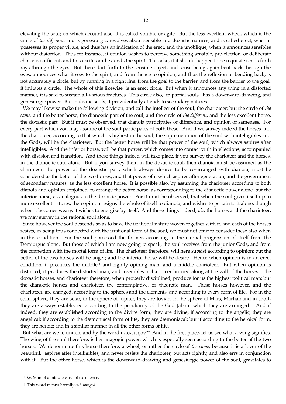elevating the soul; on which account also, it is called voluble or agile. But the less excellent wheel, which is the circle of *the different,* and is genesiurgic, revolves about sensible and doxastic natures, and is called erect, when it possesses its proper virtue, and thus has an indication of the erect, and the unoblique, when it announces sensibles without distortion. Thus for instance, if opinion wishes to perceive something sensible, pre-election, or deliberate choice is sufficient, and this excites and extends the spirit. This also, if it should happen to be requisite sends forth rays through the eyes. But these dart forth to the sensible object, and sense being again bent back through the eyes, announces what it sees to the spirit, and from thence to opinion; and thus the reflexion or bending back, is not accurately a circle, but by running in a right line, from the goal to the barrier, and from the barrier to the goal, it imitates a circle. The whole of this likewise, is an erect circle. But when it announces any thing in a distorted manner, it is said to sustain all-various fractures. This circle also, [in partial souls,] has a downward-drawing, and genesiurgic power. But in divine souls, it providentially attends to secondary natures.

 We may likewise make the following division, and call the intellect of the soul, the charioteer; but the circle of *the same,* and the better horse, the dianoetic part of the soul; and the circle of *the different,* and the less excellent horse, the doxastic part. But it must be observed, that dianoia participates of difference, and opinion of sameness. For every part which you may assume of the soul participates of both these. And if we survey indeed the horses and the charioteer, according to that which is highest in the soul, the supreme union of the soul with intelligibles and the Gods, will be the charioteer. But the better horse will be that power of the soul, which always aspires after intelligibles. And the inferior horse, will be that power, which comes into contact with intellections, accompanied with division and transition. And these things indeed will take place, if you survey the charioteer and the horses, in the dianoetic soul alone. But if you survey them in the doxastic soul, then dianoia must be assumed as the charioteer; the power of the doxastic part, which always desires to be co-arranged with dianoia, must be considered as the better of the two horses; and that power of it which aspires after generation, and the government of secondary natures, as the less excellent horse. It is possible also, by assuming the charioteer according to both dianoia and opinion conjoined, to arrange the better horse, as corresponding to the dianoetic power alone, but the inferior horse, as analogous to the doxastic power. For it must be observed, that when the soul gives itself up to more excellent natures, then opinion resigns the whole of itself to dianoia, and wishes to pertain to it alone; though when it becomes weary, it wishes to energize by itself. And these things indeed, *viz*. the horses and the charioteer, we may survey in the rational soul alone.

 Since however the soul descends so as to have the irrational nature woven together with it, and each of the horses resists, in being thus connected with the irrational form of the soul, we must not omit to consider these also when in this condition. For the soul possessed the former, according to the eternal progression of itself from the Demiurgus alone. But those of which I am now going to speak, the soul receives from the junior Gods, and from the connexion with the mortal form of life. The charioteer therefore, will here subsist according to opinion; but the better of the two horses will be anger; and the inferior horse will be desire. Hence when opinion is in an erect condition, it produces the middle,† and rightly opining man, and a middle charioteer. But when opinion is distorted, it produces the distorted man, and resembles a charioteer hurried along at the will of the horses. The doxastic horses, and charioteer therefore, when properly disciplined, produce for us the highest political man; but the dianoetic horses and charioteer, the contemplative, or theoretic man. These horses however, and the charioteer, are changed, according to the spheres and the elements, and according to every form of life. For in the solar sphere, they are solar, in the sphere of Jupiter, they are Jovian, in the sphere of Mars, Martial; and in short, they are always established according to the peculiarity of the God [about which they are arranged]. And if indeed, they are established according to the divine form, they are divine; if according to the angelic, they are angelical; if according to the dæmoniacal form of life, they are dæmoniacal: but if according to the heroical form, they are heroic; and in a similar manner in all the other forms of life.

But what are we to understand by the word υποπτερον?<sup>†</sup> And in the first place, let us see what a wing signifies. The wing of the soul therefore, is her anagogic power, which is especially seen according to the better of the two horses. We denominate this horse therefore, a wheel, or rather the circle of *the same,* because it is a lover of the beautiful, aspires after intelligibles, and never resists the charioteer, but acts rightly, and also errs in conjunction with it. But the other horse, which is the downward-drawing and genesiurgic power of the soul, gravitates to

† *i.e*. Man of a middle class of excellence.

‡ This word means literally *sub*-*winged*.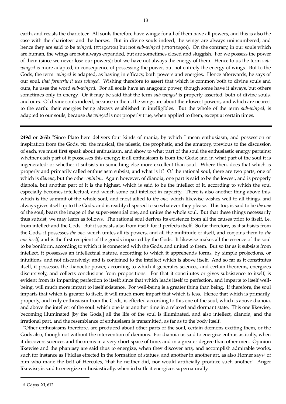earth, and resists the charioteer. All souls therefore have wings: for all of them have all powers, and this is also the case with the charioteer and the horses. But in divine souls indeed, the wings are always unincumbered; and hence they are said to be *winged,* (πτερωτoι) but not *sub-winged* (υπoπτερoι). On the contrary, in our souls which are human, the wings are not always expanded, but are sometimes closed and sluggish. For we possess the power of them (since we never lose our powers); but we have not always the energy of them. Hence to us the term *subwinged* is more adapted, in consequence of possessing the power, but not entirely the energy of wings. But to the Gods, the term *winged* is adapted, as having in efficacy, both powers and energies. Hence afterwards, he says of our soul, *that formerly it was winged.* Wishing therefore to assert that which is common both to divine souls and ours, he uses the word *sub-winged.* For all souls have an anagogic power, though some have it always, but others sometimes only in energy. Or it may be said that the term *sub-winged* is properly asserted, both of divine souls, and ours. Of divine souls indeed, because in them, the wings are about their lowest powers, and which are nearest to the earth: their energies being always established in intelligibles. But the whole of the term *sub-winged,* is adapted to our souls, because *the winged* is not properly true, when applied to them, except at certain times.

**249d or 265b** "Since Plato here delivers four kinds of mania, by which I mean enthusiasm, and possession or inspiration from the Gods, *viz*. the musical, the telestic, the prophetic, and the amatory, previous to the discussion of each, we must first speak about enthusiasm, and show to what part of the soul the enthusiastic energy pertains; whether each part of it possesses this energy; if all enthusiasm is from the Gods; and in what part of the soul it is ingenerated: or whether it subsists in something else more excellent than soul. Where then, does that which is properly and primarily called enthusiasm subsist, and what is it? Of the rational soul, there are two parts, one of which is *dianoia*, but the other *opinion*. Again however, of dianoia, one part is said to be the lowest, and is properly dianoia, but another part of it is the highest, which is said to be the intellect of it, according to which the soul especially becomes intellectual, and which some call intellect in capacity. There is also another thing above this, which is the summit of the whole soul, and most allied to *the one*, which likewise wishes well to all things, and always gives itself up to the Gods, and is readily disposed to so whatever they please. This too, is said to be *the one* of the soul, bears the image of the super-essential one, and unites the whole soul. But that these things necessarily thus subsist, we may learn as follows. The rational soul derives its existence from all the causes prior to itself, i.e. from intellect and the Gods. But it subsists also from itself: for it perfects itself. So far therefore, as it subsists from the Gods, it possesses *the one*, which unites all its powers, and all the multitude of itself, and conjoins them to *the one itself,* and is the first recipient of the goods imparted by the Gods. It likewise makes all the essence of the soul to be boniform, according to which it is connected with the Gods, and united to them. But so far as it subsists from intellect, it possesses an intellectual nature, according to which it apprehends forms, by simple projections, or intuitions, and not discursively; and is conjoined to the intellect which is above itself. And so far as it constitutes itself, it possesses the dianoetic power, according to which it generates sciences, and certain theorems, energizes discursively, and collects conclusions from propositions. For that it constitutes or gives subsistence to itself, is evident from its imparting perfection to itself; since that which leads itself to perfection, and imparts to itself wellbeing, will much more impart to itself existence. For well-being is a greater thing than being. If therefore, the soul imparts that which is greater to itself, it will much more impart that which is less. Hence that which is primarily, properly, and truly enthusiasm from the Gods, is effected according to this one of the soul, which is above dianoia, and above the intellect of the soul: which one is at another time in a relaxed and dormant state. This one likewise, becoming illuminated [by the Gods,] all the life of the soul is illuminated, and also intellect, dianoia, and the irrational part, and the resemblance of enthusiasm is transmitted, as far as to the body itself.

 "Other enthusiasms therefore, are produced about other parts of the soul, certain dæmons exciting them, or the Gods also, though not without the intervention of dæmons. For dianoia us said to energize enthusiastically, when it discovers sciences and theorems in a very short space of time, and in a greater degree than other men. Opinion likewise and the phantasy are said thus to energize, when they discover arts, and accomplish admirable works, such for instance as Phidias effected in the formation of statues, and another in another art, as also Homer says<sup>§</sup> of him who made the belt of Hercules, 'that he neither did, nor would artificially produce such another.' Anger likewise, is said to energize enthusiastically, when in battle it energizes supernaturally.

 <sup>§</sup> Odyss. XI, 612.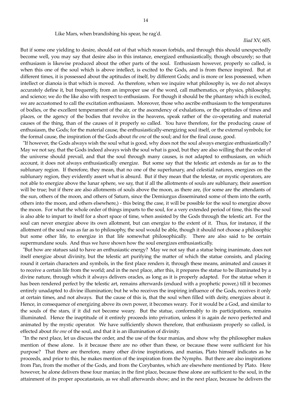## Like Mars, when brandishing his spear, he rag'd.

## *Iliad* XV, 605.

But if some one yielding to desire, should eat of that which reason forbids, and through this should unexpectedly become well, you may say that desire also in this instance, energized enthusiastically, though obscurely; so that enthusiasm is likewise produced about the other parts of the soul. Enthusiasm however, properly so called, is when this one of the soul which is above intellect, is excited to the Gods, and is from thence inspired. But at different times, it is possessed about the aptitudes of itself, by different Gods; and is more or less possessed, when intellect or dianoia is that which is moved. As therefore, when we inquire what philosophy is, we do not always accurately define it, but frequently, from an improper use of the word, call mathematics, or physics, philosophy, and science; we do the like also with respect to enthusiasm. For though it should be the phantasy which is excited, we are accustomed to call the excitation enthusiasm. Moreover, those who ascribe enthusiasm to the temperatures of bodies, or the excellent temperament of the air, or the ascendency of exhalations, or the aptitudes of times and places, or the agency of the bodies that revolve in the heavens, speak rather of the co-operating and material causes of the thing, than of the causes of it properly so called. You have therefore, for the producing cause of enthusiasm, the Gods; for the material cause, the enthusiastically-energizing soul itself, or the external symbols; for the formal cause, the inspiration of the Gods about *the one* of the soul; and for the final cause, good.

 "If however, the Gods always wish the soul what is good, why does not the soul always energize enthusiastically? May we not say, that the Gods indeed always wish the soul what is good, but they are also willing that the order of the universe should prevail, and that the soul through many causes, is not adapted to enthusiasm, on which account, it does not always enthusiastically energize. But some say that the telestic art extends as far as to the sublunary region. If therefore, they mean, that no one of the superlunary, and celestial natures, energizes on the sublunary region, they evidently assert what is absurd. But if they mean that the telestæ, or mystic operators, are not able to energize above the lunar sphere, we say, that if all the allotments of souls are sublunary, their assertion will be true; but if there are also allotments of souls above the moon, as there are, (for some are the attendants of the sun, others of the moon, and others of Saturn, since the Demiurgus disseminated some of them into the earth, others into the moon, and others elsewhere,) - this being the case, it will be possible for the soul to energize above the moon. For what the whole order of things imparts to the soul, for a very extended period of time, this the soul is also able to impart to itself for a short space of time, when assisted by the Gods through the telestic art. For the soul can never energize above its own allotment, but can energize to the extent of it. Thus, for instance, if the allotment of the soul was as far as to philosophy, the soul would be able, though it should not choose a philosophic but some other life, to energize in that life somewhat philosophically. There are also said to be certain supermundane souls. And thus we have shown how the soul energizes enthusiastically.

 "But how are statues said to have an enthusiastic energy? May we not say that a statue being inanimate, does not itself energize about divinity, but the telestic art purifying the matter of which the statue consists, and placing round it certain characters and symbols, in the first place renders it, through these means, animated and causes it to receive a certain life from the world; and in the next place, after this, it prepares the statue to be illuminated by a divine nature, through which it always delivers oracles, as long as it is properly adapted. For the statue when it has been rendered perfect by the telestic art, remains afterwards (endued with a prophetic power,) till it becomes entirely unadapted to divine illumination; but he who receives the inspiring influence of the Gods, receives it only at certain times, and not always. But the cause of this is, that the soul when filled with deity, energizes about it. Hence, in consequence of energizing above its own power, it becomes weary. For it would be a God, and similar to the souls of the stars, if it did not become weary. But the statue, conformably to its participations, remains illuminated. Hence the inaptitude of it entirely proceeds into privation, unless it is again de novo perfected and animated by the mystic operator. We have sufficiently shown therefore, that enthusiasm properly so called, is effected about *the one* of the soul, and that it is an illumination of divinity.

 "In the next place, let us discuss the order, and the use of the four manias, and show why the philosopher makes mention of these alone. Is it because there are no other than these, or because these were sufficient for his purpose? That there are therefore, many other divine inspirations, and manias, Plato himself indicates as he proceeds, and prior to this, he makes mention of the inspiration from the Nymphs. But there are also inspirations from Pan, from the mother of the Gods, and from the Corybantes, which are elsewhere mentioned by Plato. Here however, he alone delivers these four manias; in the first place, because these alone are sufficient to the soul, in the attainment of its proper apocatastasis, as we shall afterwards show; and in the next place, because he delivers the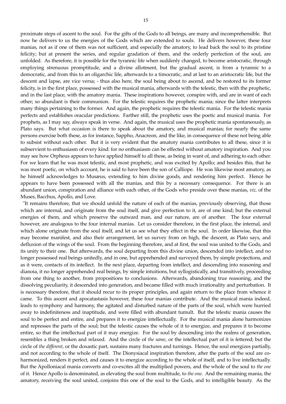proximate steps of ascent to the soul. For the gifts of the Gods to all beings, are many and incomprehensible. But now he delivers to us the energies of the Gods which are extended to souls. He delivers however, these four manias, not as if one of them was not sufficient, and especially the amatory, to lead back the soul to its pristine felicity; but at present the series, and regular gradation of them, and the orderly perfection of the soul, are unfolded. As therefore, it is possible for the tyrannic life when suddenly changed, to become aristocratic, through employing strenuous promptitude, and a divine allotment, but the gradual ascent, is from a tyrannic to a democratic, and from this to an oligarchic life, afterwards to a timocratic, and at last to an aristocratic life, but the descent and lapse, are vice versa; - thus also here, the soul being about to ascend, and be restored to its former felicity, is in the first place, possessed with the musical mania, afterwards with the telestic, then with the prophetic, and in the last place, with the amatory mania. These inspirations however, conspire with, and are in want of each other; so abundant is their communion. For the telestic requires the prophetic mania; since the latter interprets many things pertaining to the former. And again, the prophetic requires the telestic mania. For the telestic mania perfects and establishes oracular predictions. Farther still, the prophetic uses the poetic and musical mania. For prophets, as I may say, always speak in verse. And again, the musical uses the prophetic mania spontaneously, as Plato says. But what occasion is there to speak about the amatory, and musical manias; for nearly the same persons exercise both these, as for instance, Sappho, Anacreon, and the like, in consequence of these not being able to subsist without each other. But it is very evident that the amatory mania contributes to all these, since it is subservient to enthusiasm of every kind: for no enthusiasm can be effected without amatory inspiration. And you may see how Orpheus appears to have applied himself to all these, as being in want of, and adhering to each other. For we learn that he was most telestic, and most prophetic, and was excited by Apollo; and besides this, that he was most poetic, on which account, he is said to have been the son of Calliope. He was likewise most amatory, as he himself acknowledges to Musæus, extending to him divine goods, and rendering him perfect. Hence he appears to have been possessed with all the manias, and this by a necessary consequence. For there is an abundant union, conspiration and alliance with each other, of the Gods who preside over these manias, *viz*. of the Muses, Bacchus, Apollo, and Love.

 "It remains therefore, that we should unfold the nature of each of the manias, previously observing, that those which are internal, and originate from the soul itself, and give perfection to it, are of one kind; but the external energies of them, and which preserve the outward man, and our nature, are of another. The four external however, are analogous to the four internal manias. Let us consider therefore, in the first place, the internal, and which alone originate from the soul itself, and let us see what they effect in the soul. In order likewise, that this may become manifest, and also their arrangement, let us survey from on high, the descent, as Plato says, and defluxion of the wings of the soul. From the beginning therefore, and at first, the soul was united to the Gods, and its unity to their one. But afterwards, the soul departing from this divine union, descended into intellect, and no longer possessed real beings unitedly, and in one, but apprehended and surveyed them, by simple projections, and as it were, contacts of its intellect. In the next place, departing from intellect, and descending into reasoning and dianoia, it no longer apprehended real beings, by simple intuitions, but syllogistically, and transitively, proceeding from one thing to another, from propositions to conclusions. Afterwards, abandoning true reasoning, and the dissolving peculiarity, it descended into generation, and became filled with much irrationality and perturbation. It is necessary therefore, that it should recur to its proper principles, and again return to the place from whence it came. To this ascent and apocatastasis however, these four manias contribute. And the musical mania indeed, leads to symphony and harmony, the agitated and disturbed nature of the parts of the soul, which were hurried away to indefiniteness and inaptitude, and were filled with abundant tumult. But the telestic mania causes the soul to be perfect and entire, and prepares it to energize intellectually. For the musical mania alone harmonizes and represses the parts of the soul; but the telestic causes the whole of it to energize, and prepares it to become entire, so that the intellectual part of it may energize. For the soul by descending into the realms of generation, resembles a thing broken and relaxed. And the circle of *the same*, or the intellectual part of it is fettered; but the circle of *the different*, or the doxastic part, sustains many fractures and turnings. Hence, the soul energizes partially, and not according to the whole of itself. The Dionysiacal inspiration therefore, after the parts of the soul are coharmonized, renders it perfect, and causes it to energize according to the whole of itself, and to live intellectually. But the Apolloniacal mania converts and co-excites all the multiplied powers, and the whole of the soul to *the one* of it. Hence Apollo is denominated, as elevating the soul from multitude, to *the one*. And the remaining mania, the amatory, receiving the soul united, conjoins this one of the soul to the Gods, and to intelligible beauty. As the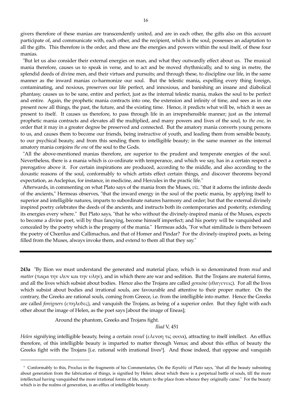givers therefore of these manias are transcendently united, and are in each other, the gifts also on this account participate of, and communicate with, each other, and the recipient, which is the soul, possesses an adaptation to all the gifts. This therefore is the order, and these are the energies and powers within the soul itself, of these four manias.

 "But let us also consider their external energies on man, and what they outwardly effect about us. The musical mania therefore, causes us to speak in verse, and to act and be moved rhythmically, and to sing in metre, the splendid deeds of divine men, and their virtues and pursuits; and through these, to discipline our life, in the same manner as the inward manias co-harmonize our soul. But the telestic mania, expelling every thing foreign, contaminating, and noxious, preserves our life perfect, and innoxious, and banishing an insane and diabolical phantasy, causes us to be sane, entire and perfect, just as the internal telestic mania, makes the soul to be perfect and entire. Again, the prophetic mania contracts into one, the extension and infinity of time, and sees as in one present now all things, the past, the future, and the existing time. Hence, it predicts what will be, which it sees as present to itself. It causes us therefore, to pass through life in an irreprehensible manner; just as the internal prophetic mania contracts and elevates all the multiplied, and many powers and lives of the soul, to *the one*, in order that it may in a greater degree be preserved and connected. But the amatory mania converts young persons to us, and causes them to become our friends, being instructive of youth, and leading them from sensible beauty, to our psychical beauty, and from this sending them to intelligible beauty; in the same manner as the internal amatory mania conjoins *the one* of the soul to the Gods.

 "All the above-mentioned manias therefore, are superior to the prudent and temperate energies of the soul. Nevertheless, there is a mania which is co-ordinate with temperance, and which we say, has in a certain respect a prerogative above it. For certain inspirations are produced, according to the middle, and also according to the doxastic reasons of the soul, conformably to which artists effect certain things, and discover theorems beyond expectation, as Asclepius, for instance, in medicine, and Hercules in the practic life."

 Afterwards, in commenting on what Plato says of the mania from the Muses, *viz*. "that it adorns the infinite deeds of the ancients," Hermeas observes, "that the inward energy in the soul of the poetic mania, by applying itself to superior and intelligible natures, imparts to subordinate natures harmony and order; but that the external divinely inspired poetry celebrates the deeds of the ancients, and instructs both its contemporaries and posterity, extending its energies every where." But Plato says, "that he who without the divinely-inspired mania of the Muses, expects to become a divine poet, will by thus fancying, become himself imperfect; and his poetry will be vanquished and concealed by the poetry which is the progeny of the mania." Hermeas adds, "For what similitude is there between the poetry of Chœrilus and Callimachus, and that of Homer and Pindar? For the divinely-inspired poets, as being filled from the Muses, always invoke them, and extend to them all that they say."

**243a** "By Ilion we must understand the generated and material place, which is so denominated from *mud* and *matter* (παρα τηv ιλυv και τηv υληv), and in which there are war and sedition. But the Trojans are material forms, and all the lives which subsist about bodies. Hence also the Trojans are called *genuine* (ιθαγεvεις). For all the lives which subsist about bodies and irrational souls, are favourable and attentive to their proper matter. On the contrary, the Greeks are rational souls, coming from Greece, i.e. from the intelligible into matter. Hence the Greeks are called *foreigners* (επηλυδες), and vanquish the Trojans, as being of a superior order. But they fight with each other about the image of Helen, as the poet says [about the image of Eneas];

Around the phantom, Greeks and Trojans fight.

÷.

*Iliad* V, 451

*Helen* signifying intelligible beauty, being a certain *vessel* (ελεvoη τις oυσα), attracting to itself intellect. An efflux therefore, of this intelligible beauty is imparted to matter through Venus; and about this efflux of beauty the Greeks fight with the Trojans [i.e. rational with irrational lives† ]. And those indeed, that oppose and vanquish

† Conformably to this, Proclus in the fragments of his Commentaries, On the *Republic* of Plato says, "that all the beauty subsisting about generation from the fabrication of things, is signified by Helen; about which there is a perpetual battle of souls, till the more intellectual having vanquished the more irrational forms of life, return to the place from whence they originally came." For the beauty which is in the realms of generation, is an efflux of intelligible beauty.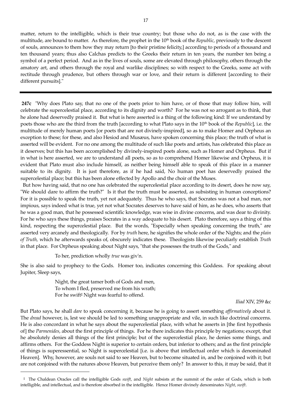matter, return to the intelligible, which is their true country; but those who do not, as is the case with the multitude, are bound to matter. As therefore, the prophet in the 10<sup>th</sup> book of the *Republic*, previously to the descent of souls, announces to them how they may return [to their pristine felicity,] according to periods of a thousand and ten thousand years; thus also Calchas predicts to the Greeks their return in ten years, the number ten being a symbol of a perfect period. And as in the lives of souls, some are elevated through philosophy, others through the amatory art, and others through the royal and warlike disciplines; so with respect to the Greeks, some act with rectitude through prudence, but others through war or love, and their return is different [according to their different pursuits]."

**247c** "Why does Plato say, that no one of the poets prior to him have, or of those that may follow him, will celebrate the supercelestial place, according to its dignity and worth? For he was not so arrogant as to think, that he alone had deservedly praised it. But what is here asserted is a thing of the following kind: If we understand by poets those who are the third from the truth [according to what Plato says in the 10<sup>th</sup> book of the *Republic*], i.e. the multitude of merely human poets [or poets that are not divinely-inspired], so as to make Homer and Orpheus an exception to these; for these, and also Hesiod and Musæus, have spoken concerning this place; the truth of what is asserted will be evident. For no one among the multitude of such like poets and artists, has celebrated this place as it deserves; but this has been accomplished by divinely-inspired poets alone, such as Homer and Orpheus. But if in what is here asserted, we are to understand all poets, so as to comprehend Homer likewise and Orpheus, it is evident that Plato must also include himself, as neither being himself able to speak of this place in a manner suitable to its dignity. It is just therefore, as if he had said, No human poet has deservedly praised the supercelestial place; but this has been alone effected by Apollo and the choir of the Muses.

 But how having said, that no one has celebrated the supercelestial place according to its desert, does he now say, "We should dare to affirm the truth?" Is it that the truth must be asserted, as subsisting in human conceptions? For it is possible to speak the truth, yet not adequately. Thus he who says, that Socrates was not a bad man, nor impious, says indeed what is true, yet not what Socrates deserves to have said of him, as he does, who asserts that he was a good man, that he possessed scientific knowledge, was wise in divine concerns, and was dear to divinity. For he who says these things, praises Socrates in a way adequate to his desert. Plato therefore, says a thing of this kind, respecting the supercelestial place. But the words, "Especially when speaking concerning the truth," are asserted very arcanely and theologically. For by *truth* here, he signifies the whole order of the Nights; and the *plain of Truth,* which he afterwards speaks of, obscurely indicates these. Theologists likewise peculiarly establish *Truth* in that place. For Orpheus speaking about Night says, "that she possesses the truth of the Gods," and

To her, prediction wholly *true* was giv'n.

÷.

She is also said to prophecy to the Gods. Homer too, indicates concerning this Goddess. For speaking about Jupiter, Sleep says,

> Night, the great tamer both of Gods and men, To whom I fled, preserved me from his wrath; For he swift<sup>‡</sup> Night was fearful to offend.

> > *Iliad* XIV, 259 &c

But Plato says, he shall *dare* to speak concerning it, because he is going to assert something *affirmatively* about it. The *dread* however, is, lest we should be led to something unappropriate and vile, in such like doctrinal concerns. He is also concordant in what he says about the supercelestial place, with what he asserts in [the first hypothesis of] the *Parmenides*, about the first principle of things. For he there indicates this principle by negations; except, that he absolutely denies all things of the first principle; but of the supercelestial place, he denies some things, and affirms others. For the Goddess Night is superior to certain orders, but inferior to others; and as the first principle of things is superessential, so Night is supercelestial [i.e. is above that intellectual order which is denominated Heaven]. Why, however, are souls not said to see Heaven, but to become situated in, and be conjoined with it; but are not conjoined with the natures above Heaven, but perceive them only? In answer to this, it may be said, that it

‡ The Chaldean Oracles call the intelligible Gods *swift*, and *Night* subsists at the summit of the order of Gods, which is both intelligible, and intellectual, and is therefore absorbed in the intelligible. Hence Homer divinely denominates *Night*, *swift*.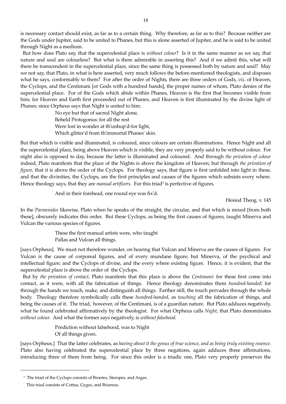is necessary contact should exist, as far as to a certain thing. Why therefore, as far as to this? Because neither are the Gods under Jupiter, said to be united to Phanes, but this is alone asserted of Jupiter, and he is said to be united through Night as a medium.

 But how does Plato say, that the supercelestial place is *without colour*? Is it in the same manner as we say, that nature and soul are colourless? But what is there admirable in asserting this? And if we admit this, what will there be transcendent in the supercelestial place, since the same thing is possessed both by nature and soul? May we not say, that Plato, in what is here asserted, very much follows the before-mentioned theologists, and disposes what he says, conformably to them? For after the order of Nights, there are three orders of Gods, *viz*. of Heaven, the Cyclops, and the Centimani [or Gods with a hundred hands], the proper names of whom, Plato denies of the supercelestial place. For of the Gods which abide within Phanes, Heaven is the first that becomes visible from him; for Heaven and Earth first proceeded out of Phanes; and Heaven is first illuminated by the divine light of Phanes; since Orpheus says that Night is united to him.

> No eye but that of sacred Night alone, Beheld Protogonus: for all the rest Were lost in wonder at th'unhop'd-for light, Which glitter'd from th'immortal Phanes' skin.

But that which is visible and illuminated, is coloured, since colours are certain illuminations. Hence Night and all the supercelestial place, being above Heaven which is visible, they are very properly said to be without colour. For night also is opposed to day, because the latter is illuminated and coloured. And through *the privation of colour* indeed, Plato manifests that the place of the Nights is above the kingdom of Heaven; but through *the privation of figure,* that it is above the order of the Cyclops. For theology says, that figure is first unfolded into light in these, and that the divinities, the Cyclops, are the first principles and causes of the figures which subsists every where. Hence theology says, that they are *manual artificers.* For this triad† is perfective of figures.

And in their forehead, one round eye was fix'd.

Hesiod Theog. v. 145

In the *Parmenides* likewise, Plato when he speaks of the straight, the circular, and that which is mixed [from both these], obscurely indicates this order. But these Cyclops, as being the first causes of figures, taught Minerva and Vulcan the various species of figures.

> These the first manual artists were, who taught Pallas and Vulcan all things.

[says Orpheus]. We must not therefore wonder, on hearing that Vulcan and Minerva are the causes of figures. For Vulcan is the cause of corporeal figures, and of every mundane figure; but Minerva, of the psychical and intellectual figure; and the Cyclops of divine, and the every where existing figure. Hence, it is evident, that the supercelestial place is above the order of the Cyclops.

 But by *the privation of contact,* Plato manifests that this place is above the *Centimani*: for these first come into contact, as it were, with all the fabrication of things. Hence theology denominates them *hundred-handed*: for through the hands we touch, make, and distinguish all things. Farther still, the touch pervades through the whole body. Theology therefore symbolically calls these *hundred-handed*, as *touching* all the fabrication of things, and being the causes of it. The triad, nowever, of the Centimani, is of a guardian nature. But Plato adduces negatively, what he found celebrated affirmatively by the theologist. For what Orpheus calls *Night*, that Plato denominates *without colour.* And what the former says negatively, is *without falsehood.*

> Prediction without falsehood, was to Night Of all things given.

[says Orpheus.] That the latter celebrates, as *having about it the genus of true science, and as being truly existing essence.* Plato also having celebrated the supercelestial place by three negations, again adduces three affirmations, introducing three of them from being. For since this order is a triadic one, Plato very properly preserves the

† The triad of the Cyclops consists of Brontes, Steropes, and Arges.

 <sup>¨</sup> This triad consists of Cottus, Gyges, and Briareus.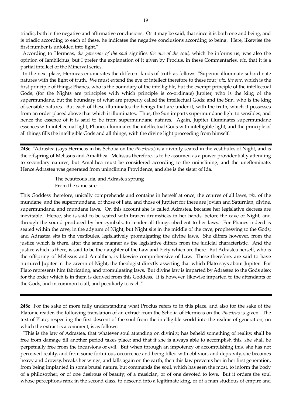triadic, both in the negative and affirmative conclusions. Or it may be said, that since it is both one and being, and is triadic according to each of these, he indicates the negative conclusions according to being. Here, likewise the first number is unfolded into light."

 According to Hermeas, *the governor of the soul* signifies *the one of the soul,* which he informs us, was also the opinion of Iamblichus; but I prefer the explanation of it given by Proclus, in these Commentaries, *viz*. that it is a partial intellect of the Minerval series.

 In the next place, Hermeas enumerates the different kinds of truth as follows: "Superior illuminate subordinate natures with the light of truth. We must extend the eye of intellect therefore to these four; *viz. the one*, which is the first principle of things; Phanes, who is the boundary of the intelligible, but the exempt principle of the intellectual Gods; (for the Nights are principles with which principle is co-ordinate) Jupiter, who is the king of the supermundane, but the boundary of what are properly called the intellectual Gods; and the Sun, who is the king of sensible natures. But each of these illuminates the beings that are under it, with the truth, which it possesses from an order placed above that which it illuminates. Thus, the Sun imparts supermundane light to sensibles; and hence the essence of it is said to be from supermundane natures. Again, Jupiter illuminates supermundane essences with intellectual light; Phanes illuminates the intellectual Gods with intelligible light; and the principle of all things fills the intelligible Gods and all things, with the divine light proceeding from himself."

**248c** "Adrastea (says Hermeas in his Scholia on the *Phædrus*,) is a divinity seated in the vestibules of Night, and is the offspring of Melissus and Amalthea. Melissus therefore, is to be assumed as a power providentially attending to secondary natures; but Amalthea must be considered according to the uninclining, and the uneffeminate. Hence Adrastea was generated from uninclining Providence, and she is the sister of Ida.

> The beauteous Ida, and Adrastea sprung From the same sire.

This Goddess therefore, unically comprehends and contains in herself at once, the centres of all laws, *viz*. of the mundane, and the supermundane, of those of Fate, and those of Jupiter; for there are Jovian and Saturnian, divine, supermundane, and mundane laws. On this account she is called Adrastea, because her legislative decrees are inevitable. Hence, she is said to be seated with brazen drumsticks in her hands, before the cave of Night, and through the sound produced by her cymbals, to render all things obedient to her laws. For Phanes indeed is seated within the cave, in the adytum of Night; but Night sits in the middle of the cave, prophesying to the Gods; and Adrastea sits in the vestibules, legislatively promulgating the divine laws. She differs however, from the justice which is there, after the same manner as the legislative differs from the judicial characteristic. And the justice which is there, is said to be the daughter of the Law and Piety which are there. But Adrastea herself, who is the offspring of Melissus and Amalthea, is likewise comprehensive of Law. These therefore, are said to have nurtured Jupiter in the cavern of Night; the theologist directly asserting that which Plato says about Jupiter. For Plato represents him fabricating, and promulgating laws. But divine law is imparted by Adrastea to the Gods also: for the order which is in them is derived from this Goddess. It is however, likewise imparted to the attendants of the Gods, and in common to all, and peculiarly to each."

**248c** For the sake of more fully understanding what Proclus refers to in this place, and also for the sake of the Platonic reader, the following translation of an extract from the Scholia of Hermeas on the *Phædrus* is given. The text of Plato, respecting the first descent of the soul from the intelligible world into the realms of generation, on which the extract is a comment, is as follows:

 "This is the law of Adrastea, that whatever soul attending on divinity, has beheld something of reality, shall be free from damage till another period takes place: and that if she is always able to accomplish this, she shall be perpetually free from the incursions of evil. But when through an impotency of accomplishing this, she has not perceived reality, and from some fortuitous occurrence and being filled with oblivion, and depravity, she becomes heavy and drowsy, breaks her wings, and falls again on the earth, then this law prevents her in her first generation, from being implanted in some brutal nature, but commands the soul, which has seen the most, to inform the body of a philosopher, or of one desirous of beauty; of a musician, or of one devoted to love. But it orders the soul whose perceptions rank in the second class, to descend into a legitimate king, or of a man studious of empire and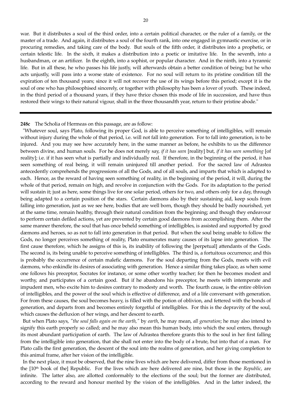war. But it distributes a soul of the third order, into a certain political character, or the ruler of a family, or the master of a trade. And again, it distributes a soul of the fourth rank, into one engaged in gymnastic exercise, or in procuring remedies, and taking care of the body. But souls of the fifth order, it distributes into a prophetic, or certain telestic life. In the sixth, it makes a distribution into a poetic or imitative life. In the seventh, into a husbandman, or an artificer. In the eighth, into a sophist, or popular character. And in the ninth, into a tyrannic life. But in all these, he who passes his life justly, will afterwards obtain a better condition of being; but he who acts unjustly, will pass into a worse state of existence. For no soul will return to its pristine condition till the expiration of ten thousand years; since it will not recover the use of its wings before this period; except it is the soul of one who has philosophised sincerely, or together with philosophy has been a lover of youth. These indeed, in the third period of a thousand years, if they have thrice chosen this mode of life in succession, and have thus restored their wings to their natural vigour, shall in the three thousandth year, return to their pristine abode."

**248c** The Scholia of Hermeas on this passage, are as follow:

 "Whatever soul, says Plato, following its proper God, is able to perceive something of intelligibles, will remain without injury during the whole of that period, i.e. will not fall into generation. For to fall into generation, is to be injured. And you may see how accurately here, in the same manner as before, he exhibits to us the difference between divine, and human souls. For he does not merely say, *if it has seen* [reality] but, *if it has seen something* [of reality]; i.e. if it has seen what is partially and individually real. If therefore, in the beginning of the period, it has seen something of real being, it will remain uninjured till another period. For the sacred law of Adrastea antecedently comprehends the progressions of all the Gods, and of all souls, and imparts that which is adapted to each. Hence, as the reward of having seen something of reality, in the beginning of the period, it will, during the whole of that period, remain on high, and revolve in conjunction with the Gods. For its adaptation to the period will sustain it; just as here, some things live for one solar period, others for two, and others only for a day, through being adapted to a certain position of the stars. Certain dæmons also by their sustaining aid, keep souls from falling into generation, just as we see here, bodies that are well born, though they should be badly nourished, yet at the same time, remain healthy, through their natural condition from the beginning; and though they endeavour to perform certain defiled actions, yet are prevented by certain good dæmons from accomplishing them. After the same manner therefore, the soul that has once beheld something of intelligibles, is assisted and supported by good dæmons and heroes, so as not to fall into generation in that period. But when the soul being unable to follow the Gods, no longer perceives something of reality, Plato enumerates many causes of its lapse into generation. The first cause therefore, which he assigns of this is, its inability of following the [perpetual] attendants of the Gods. The second is, its being unable to perceive something of intelligibles. The third is, a fortuitous occurrence; and this is probably the occurrence of certain malefic dæmons. For the soul departing from the Gods, meets with evil dæmons, who enkindle its desires of associating with generation. Hence a similar thing takes place, as when some one follows his preceptor, Socrates for instance, or some other worthy teacher; for then he becomes modest and worthy, and participates of a certain good. But if he abandons his preceptor, he meets with intemperate and impudent men, who excite him to desires contrary to modesty and worth. The fourth cause, is the entire oblivion of intelligibles, and the power of the soul which is effective of difference, and of a life conversant with generation. For from these causes, the soul becomes heavy, is filled with the potion of oblivion, and fettered with the bonds of generation, and departs from and becomes entirely forgetful of intelligibles. For this is the depravity of the soul, which causes the defluxion of her wings, and her descent to earth.

 But when Plato says, *"the soul falls again on the earth,"* by *earth*, he may mean, *all generation*; he may also intend to signify this earth properly so called; and he may also mean this human body, into which the soul enters, through its most abundant participation of earth. The law of Adrastea therefore grants this to the soul in her first falling from the intelligible into generation, that she shall not enter into the body of a brute, but into that of a man. For Plato calls the first generation, the descent of the soul into the realms of generation, and her giving completion to this animal frame, after her vision of the intelligible.

 In the next place, it must be observed, that the nine lives which are here delivered, differ from those mentioned in the [10th book of the] Republic. For the lives which are here delivered are nine, but those in the *Republic*, are infinite. The latter also, are allotted conformably to the elections of the soul; but the former are distributed, according to the reward and honour merited by the vision of the intelligibles. And in the latter indeed, the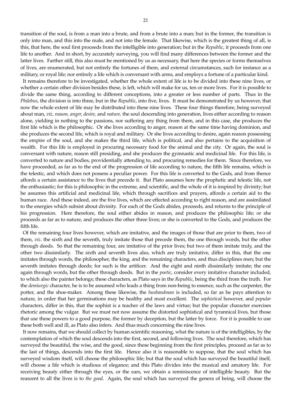transition of the soul, is from a man into a brute, and from a brute into a man; but in the former, the transition is only into man, and this into the male, and not into the female. That likewise, which is the greatest thing of all, is this, that here, the soul first proceeds from the intelligible into generation; but in the *Republic*, it proceeds from one life to another. And in short, by accurately surveying, you will find many differences between the former and the latter lives. Farther still, this also must be mentioned by us as necessary, that here the species or forms themselves of lives, are enumerated, but not entirely the fortunes of them, and external circumstances, such for instance as a military, or royal life; nor entirely a life which is conversant with arms, and employs a fortune of a particular kind.

 It remains therefore to be investigated, whether the whole extent of life is to be divided into these nine lives, or whether a certain other division besides these, is left, which will make for us, ten or more lives. For it is possible to divide the same thing, according to different conceptions, into a greater or less number of parts. Thus in the *Philebus*, the division is into three, but in the *Republic*, into five, lives. It must be demonstrated by us however, that now the whole extent of life may be distributed into these nine lives. These four things therefore, being surveyed about man, *viz*. *reason, anger, desire,* and *nature,* the soul descending into generation, lives either according to reason alone, yielding in nothing to the passions, nor suffering any thing from them, and in this case, she produces the first life which is the philosophic. Or she lives according to anger, reason at the same time having dominion, and she produces the second life, which is royal and military. Or she lives according to desire, again reason possessing the empire of the soul, and she makes the third life, which is political, and also pertains to the acquisition of wealth. For this life is employed in procuring necessary food for the animal and the city. Or again, the soul is conversant with nature, reason still presiding, and she produces the gymnastic and medicinal life. For this life, is converted to nature and bodies, providentially attending to, and procuring remedies for them. Since therefore, we have proceeded, as far as to the end of the progression of life according to nature, the fifth life remains, which is the telestic, and which does not possess a peculiar power. For this life is converted to the Gods, and from thence affords a certain assistance to the lives that precede it. But Plato assumes here the prophetic and telestic life, not the enthusiastic; for this is philosophic in the extreme, and scientific, and the whole of it is inspired by divinity; but he assumes this artificial and medicinal life, which through sacrifices and prayers, affords a certain aid to the human race. And these indeed, are the five lives, which are effected according to right reason, and are assimilated to the energies which subsist about divinity. For each of the Gods abides, proceeds, and returns to the principle of his progression. Here therefore, the soul either abides in reason, and produces the philosophic life; or she proceeds as far as to nature, and produces the other three lives; or she is converted to the Gods, and produces the fifth life.

 Of the remaining four lives however, which are imitative, and the images of those that are prior to them, two of them, *viz*. the sixth and the seventh, truly imitate those that precede them, the one through words, but the other through deeds. So that the remaining four, are imitative of the prior lives; but two of them imitate truly, and the other two dissimilarly. The sixth and seventh lives also, which are truly imitative, differ in this, that the one imitates through words, the philosopher, the king, and the remaining characters, and thus disciplines men; but the seventh imitates through deeds; for such is the artificer. And the eight and ninth dissimilarly imitate; the one again through words, but the other through deeds. But in the *poetic*, consider every imitative character included, to which also the painter belongs; these characters, as Plato says in the *Republic*, being the third from the truth. For the *demiurgic* character, he is to be assumed who leads a thing from non-being to essence, such as the carpenter, the potter, and the shoe-maker. Among these likewise, the *husbandman* is included, so far as he pays attention to nature, in order that her germinations may be healthy and most excellent. The *sophistical* however, and *popular* characters, differ in this, that the sophist is a teacher of the laws and virtue; but the popular character exercises rhetoric among the vulgar. But we must not now assume the distorted sophistical and tyrannical lives, but those that use these powers to a good purpose, the former by deception, but the latter by force. For it is possible to use these both well and ill, as Plato also infers. And thus much concerning the nine lives.

 It now remains, that we should collect by human scientific reasoning, what the nature is of the intelligibles, by the contemplation of which the soul descends into the first, second, and following lives. The soul therefore, which has surveyed the beautiful, the wise, and the good, since these beginning from the first principles, proceed as far as to the last of things, descends into the first life. Hence also it is reasonable to suppose, that the soul which has surveyed wisdom itself, will choose the philosophic life; but that the soul which has surveyed the beautiful itself, will choose a life which is studious of elegance; and this Plato divides into the musical and amatory life. For receiving beauty either through the eyes, or the ears, we obtain a reminiscence of intelligible beauty. But the reascent to all the lives is to *the good*. Again, the soul which has surveyed the genera of being, will choose the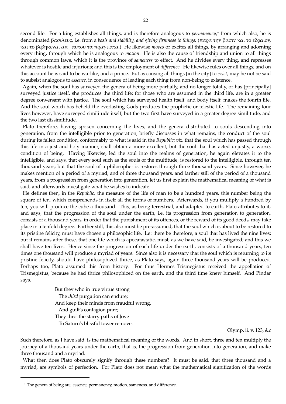second life. For a king establishes all things, and is therefore analogous to *permanency*, † from which also, he is denominated βασιλευς, i.e. from a *basis and stability, and giving firmness to things:* (παρα τηv βασιv και τo εδραιov, και τo βεβηκεvαι απ\_ αυτoυ τα πραγματα.) He likewise *moves* or excites all things, by arranging and adorning every thing, through which he is analogous to *motion*. He is also the cause of friendship and union to all things through common laws, which it is the province of *sameness* to effect. And he divides every thing, and represses whatever is hostile and injurious; and this is the employment of *difference*. He likewise rules over all things; and on this account he is said to be warlike, and a prince. But as causing all things [in the city] to *exist*, may he not be said to subsist analogous to *essence*, in consequence of leading each thing from non-being to existence.

 Again, when the soul has surveyed the genera of being more partially, and no longer totally, or has [principally] surveyed justice itself, she produces the third life: for those who are assumed in the third life, are in a greater degree conversant with justice. The soul which has surveyed health itself, and body itself, makes the fourth life. And the soul which has beheld the everlasting Gods produces the prophetic or telestic life. The remaining four lives however, have surveyed similitude itself; but the two first have surveyed in a greater degree similitude, and the two last dissimilitude.

 Plato therefore, having spoken concerning the lives, and the genera distributed to souls descending into generation, from the intelligible prior to generation, briefly discusses in what remains, the conduct of the soul during its fallen condition, conformably to what is said in the *Republic*; *viz*. that the soul which has passed through this life in a just and holy manner, shall obtain a more excellent, but the soul that has acted unjustly, a worse, condition of being. Having likewise, led the soul into the realms of generation, he again elevates it to the intelligible, and says, that every soul such as the souls of the multitude, is restored to the intelligible, through ten thousand years; but that the soul of a philosopher is restores through three thousand years. Since however, he makes mention of a period of a myriad, and of three thousand years, and farther still of the period of a thousand years, from a progression from generation into generation, let us first explain the mathematical meaning of what is said, and afterwards investigate what he wishes to indicate.

 He defines then, in the *Republic*, the measure of the life of man to be a hundred years, this number being the square of ten, which comprehends in itself all the forms of numbers. Afterwards, if you multiply a hundred by ten, you will produce the cube a thousand. This, as being terrestrial, and adapted to earth, Plato attributes to it, and says, that the progression of the soul under the earth, i.e. its progression from generation to generation, consists of a thousand years, in order that the punishment of its offences, or the reward of its good deeds, may take place in a tenfold degree. Farther still, this also must be pre-assumed, that the soul which is about to be restored to its pristine felicity, must have chosen a philosophic life. Let there be therefore, a soul that has lived the nine lives; but it remains after these, that one life which is apocatastatic, must, as we have said, be investigated; and this we shall have ten lives. Hence since the progression of each life under the earth, consists of a thousand years, ten times one thousand will produce a myriad of years. Since also it is necessary that the soul which is returning to its pristine felicity, should have philosophized thrice, as Plato says, again three thousand years will be produced. Perhaps too, Plato assumed this from history. For thus Hermes Trismegistus received the appellation of Trismegistus, because he had thrice philosophized on the earth, and the third time knew himself. And Pindar says,

> But they who in true virtue strong The *third* purgation can endure; And keep their minds from fraudful wrong, And guilt's contagion pure; They thro' the starry paths of Jove To Saturn's blissful tower remove.

> > Olymp. ii. v. 123, &c

Such therefore, as I have said, is the mathematical meaning of the words. And in short, three and ten multiply the journey of a thousand years under the earth, that is, the progression from generation into generation, and make three thousand and a myriad.

 What then does Plato obscurely signify through these numbers? It must be said, that three thousand and a myriad, are symbols of perfection. For Plato does not mean what the mathematical signification of the words

† The genera of being are, essence, permanency, motion, sameness, and difference.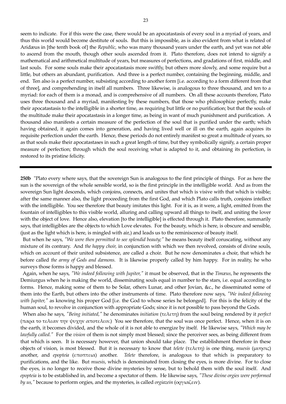seem to indicate. For if this were the case, there would be an apocatastasis of every soul in a myriad of years, and thus this world would become destitute of souls. But this is impossible, as is also evident from what is related of Aridæus in [the tenth book of] the *Republic*, who was many thousand years under the earth, and yet was not able to ascend from the mouth, though other souls ascended from it. Plato therefore, does not intend to signify a mathematical and arithmetical multitude of years, but measures of perfections, and gradations of first, middle, and last souls. For some souls make their apocatastasis more swiftly, but others more slowly, and some require but a little, but others an abundant, purification. And three is a perfect number, containing the beginning, middle, and end. Ten also is a perfect number, subsisting according to another form [i.e. according to a form different from that of three], and comprehending in itself all numbers. Three likewise, is analogous to three thousand, and ten to a myriad: for each of them is a monad, and is comprehensive of all numbers. On all these accounts therefore, Plato uses three thousand and a myriad, manifesting by these numbers, that those who philosophize perfectly, make their apocatastasis to the intelligible in a shorter time, as requiring but little or no purification; but that the souls of the multitude make their apocatastasis in a longer time, as being in want of much punishment and purification. A thousand also manifests a certain measure of the perfection of the soul that is purified under the earth; which having obtained, it again comes into generation, and having lived well or ill on the earth, again acquires its requisite perfection under the earth. Hence, these periods do not entirely manifest so great a multitude of years, so as that souls make their apocatastases in such a great length of time, but they symbolically signify, a certain proper measure of perfection; through which the soul receiving what is adapted to it, and obtaining its perfection, is restored to its pristine felicity.

**250b** "Plato every where says, that the sovereign Sun is analogous to the first principle of things. For as here the sun is the sovereign of the whole sensible world, so is the first principle in the intelligible world. And as from the sovereign Sun light descends, which conjoins, connects, and unites that which is visive with that which is visible; after the same manner also, the light proceeding from the first God, and which Plato calls truth, conjoins intellect with the intelligible. You see therefore that beauty imitates this light. For it is, as it were, a light, emitted from the fountain of intelligibles to this visible world, alluring and calling upward all things to itself, and uniting the lover with the object of love. Hence also, elevation [to the intelligible] is effected through it. Plato therefore, summarily says, that intelligibles are the objects to which Love elevates. For the beauty, which is here, is obscure and sensible, (just as the light which is here, is mingled with air,) and leads us to the reminiscence of beauty itself.

 But when he says, *"We were then permitted to see splendid beauty;"* he means beauty itself coruscating, without any mixture of its contrary. And *the happy choir,* in conjunction with which we then revolved, consists of divine souls, which on account of their united subsistence, are called a choir. But he now denominates a choir, that which he before called *the army of Gods and dæmons.* It is likewise properly called by him happy. For in reality, he who surveys those forms is happy and blessed.

 Again, when he says, *"We indeed following with Jupiter,"* it must be observed, that in the *Timæus*, he represents the Demiurgus when he is making the world, disseminating souls equal in number to the stars, i.e. equal according to forms. Hence, making some of them to be Solar, others Lunar, and other Jovian, &c., he disseminated some of them into the Earth, but others into the other instruments of time. Plato therefore now says, *"We indeed following with Jupiter,"* as knowing his proper God [i.e. the God to whose series he belonged]. For this is the felicity of the human soul, to revolve in conjunction with appropriate Gods; since it is not possible to pass beyond the Gods.

 When also he says, *"Being initiated,"* he denominates *initiation* (τελετη) from the soul being rendered by it *perfect* (παρα τo τελεαv τηv ψυχηv απoτελειv.) You see therefore, that the soul was once perfect. Hence, when it is on the earth, it becomes divided, and the whole of it is not able to energize by itself. He likewise says, *"Which may be lawfully called."* For the *vision* of them is not simply most blessed; since the perceiver sees, as being different from that which is seen. It is necessary however, that union should take place. The establishment therefore in these objects of vision, is most blessed. But it is necessary to know that *telete* (τελετη) is one thing, *muesis* (μυησις) another, and *epopteia* (επoπτεια) another. *Telete* therefore, is analogous to that which is preparatory to purifications, and the like. But *muesis*, which is denominated from closing the eyes, is more divine. For to close the eyes, is no longer to receive those divine mysteries by sense, but to behold them with the soul itself. And *epopteia* is to be established in, and become a spectator of them. He likewise says, *"These divine orgies were performed by us,"* because to perform orgies, and the mysteries, is called *orgiazein* (oργιαζειv).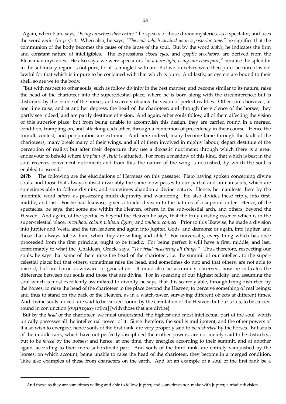Again, when Plato says, *"Being ourselves then entire,"* he speaks of those divine mysteries, as a spectator; and uses the word *entire* for *perfect.* When also, he says, *"The evils which awaited us in a posterior time,"* he signifies that the communion of the body becomes the cause of the lapse of the soul. But by the word *stable*, he indicates the firm and constant nature of intelligibles. The expressions *closed eyes,* and *epoptic spectators,* are derived from the Eleusinian mysteries. He also says, we were spectators *"in a pure light, being ourselves pure,"* because the splendor in the sublunary region is not pure; for it is mingled with air. But we ourselves were then pure, because it is not lawful for that which is impure to be conjoined with that which is pure. And lastly, as oysters are bound to their shell, so are we to the body.

. "But with respect to other souls, such as follow divinity in the best manner, and become similar to its nature, raise the head of the charioteer into the supercelestial place; where he is born along with the circumference: but is disturbed by the course of the horses, and scarcely obtains the vision of perfect realities. Other souls however, at one time raise, and at another depress, the head of the charioteer: and through the violence of the horses, they partly see indeed, and are partly destitute of vision. And again, other souls follow, all of them affecting the vision of this superior place; but from being unable to accomplish this design, they are carried round in a merged condition, trampling on, and attacking each other, through a contention of precedency in their course. Hence the tumult, contest, and perspiration are extreme. And here indeed, many become lame through the fault of the charioteers, many break many of their wings, and all of them involved in mighty labour, depart destitute of the perception of reality; but after their departure they use a doxastic nutriment; through which there is a great endeavour to behold where *the plain of Truth* is situated. For from a meadow of this kind, that which is best in the soul receives convenient nutriment; and from this, the nature of the wing is nourished, by which the soul is enabled to ascend."

**247b** The following are the elucidations of Hermeas on this passage: "Plato having spoken concerning divine souls, and those that always subsist invariably the same, now passes to our partial and human souls, which are sometimes able to follow divinity, and sometimes abandon a divine nature. Hence, he manifests them by the indefinite word *others*, as possessing much depravity and wandering. He also divides these triply, into first, middle, and last. For he had likewise, given a triadic division to the natures of a superior order. Hence, of the spectacles, he says, that some are within the Heaven, others, in the sub-celestial arch, and others, beyond the Heaven. And again, of the spectacles beyond the Heaven he says, that the truly-existing essence which is in the super-celestial place, is *without colour, without figure,* and *without contact.* Prior to this likewise, he made a division into Jupiter and Vesta, and the ten leaders: and again into Jupiter, Gods, and dæmons: or again, into Jupiter, and those that always follow him, when they are willing and able.† For universally, every thing which has once proceeded from the first principle, ought to be triadic. For being perfect it will have a first, middle, and last, conformably to what the [Chaldean] Oracle says, *"The triad measuring all things."* Thus therefore, respecting our souls, he says that some of them raise the head of the charioteer, i.e. the summit of our intellect, to the supercelestial place; but that others, sometimes raise the head, and sometimes do not; and that others, are not able to raise it, but are borne downward to generation. It must also be accurately observed, how he indicates the difference between our souls and those that are divine. For in speaking of our highest felicity, and assuming the soul which is most excellently assimilated to divinity, he says, that it is scarcely able, through being disturbed by the horses, to raise the head of the charioteer to the place beyond the Heaven; to perceive something of real beings; and thus to stand on the back of the Heaven, as in a watch-tower, surveying different objects at different times. And divine souls indeed, are said to be carried round by the circulation of the Heaven; but our souls, to be carried round in conjunction [συμπεριαγεσθαι] [with those that are divine].

 But by the *head* of the charioteer, we must understand, the highest and most intellectual part of the soul, which unically possesses all the intellectual power of it. Since therefore, the soul is multipotent, and the other powers of it also wish to energize, hence souls of the first rank, are very properly said to be *disturbed* by the horses. But souls of the middle rank, which have not perfectly disciplined their other powers, are not merely said to be disturbed, but to be *forced* by the horses; and hence, at one time, they energize according to their summit, and at another again, according to their more subordinate part. And souls of the third rank, are entirely vanquished by the horses; on which account, being unable to raise the head of the charioteer, they become in a merged condition. Take also examples of these from characters on the earth. And let an example of a soul of the first rank be a

† And these, as they are sometimes willing and able to follow Jupiter, and sometimes not, make with Jupiter, a triadic division.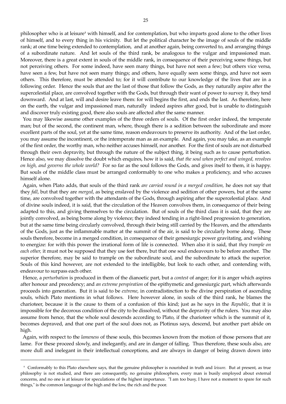philosopher who is at leisure† with himself, and for contemplation, but who imparts good alone to the other lives of himself, and to every thing in his vicinity. But let the political character be the image of souls of the middle rank; at one time being extended to contemplation, and at another again, being converted to, and arranging things of a subordinate nature. And let souls of the third rank, be analogous to the vulgar and impassioned man. Moreover, there is a great extent in souls of the middle rank, in consequence of their perceiving some things, but not perceiving others. For some indeed, have seen many things, but have not seen a few; but others vice versa, have seen a few, but have not seen many things; and others, have equally seen some things, and have not seen others. This therefore, must be attended to; for it will contribute to our knowledge of the lives that are in a following order. Hence the souls that are the last of those that follow the Gods, as they naturally aspire after the supercelestial place, are convolved together with the Gods, but through their want of power to survey it, they tend downward. And at last, will and desire leave them: for will begins the first, and ends the last. As therefore, here on the earth, the vulgar and impassioned man, naturally indeed aspires after good, but is unable to distinguish and discover truly existing good, there also souls are affected after the same manner.

 You may likewise assume other examples of the three orders of souls. Of the first order indeed, the temperate man; but of the second, the continent man, where, though there is a sedition between the subordinate and more excellent parts of the soul, yet at the same time, reason endeavours to preserve its authority. And of the last order, you may assume the incontinent, or the intemperate man as an example. And again, you may take, as an example of the first order, the worthy man, who neither accuses himself, nor another. For the first of souls are not disturbed through their own depravity, but through the nature of the subject thing, it being such as to cause perturbation. Hence also, we may dissolve the doubt which enquires, how it is said, *that the soul when perfect and winged, revolves on high, and governs the whole world?* For so far as the soul follows the Gods, and gives itself to them, it is happy. But souls of the middle class must be arranged conformably to one who makes a proficiency, and who accuses himself alone.

 Again, when Plato adds, that souls of the third rank *are carried round in a merged condition,* he does not say that they *fall*, but that they are *merged*, as being enslaved by the violence and sedition of other powers, but at the same time, are convolved together with the attendants of the Gods, through aspiring after the supercelestial place. And of divine souls indeed, it is said, that the circulation of the Heaven convolves them, in consequence of their being adapted to this, and giving themselves to the circulation. But of souls of the third class it is said, that they are jointly convolved, as being borne along by violence; they indeed tending in a right-lined progression to generation, but at the same time being circularly convolved, through their being still carried by the Heaven, and the attendants of the Gods, just as the inflammable matter at the summit of the air, is said to be circularly borne along. These souls therefore, become in a merged condition, in consequence of their genesiurgic power gravitating, and wishing to energize: for with this power the irrational form of life is connected. When also it is said, that *they trample on each other,* it must not be supposed that they use feet there, but that one soul endeavours to be before another. The superior therefore, may be said to trample on the subordinate soul, and the subordinate to attack the superior. Souls of this kind however, are not extended to the intelligible, but look to each other, and contending with, endeavour to surpass each other.

 Hence, a *perturbation* is produced in them of the dianoetic part, but a *contest* of anger; for it is anger which aspires after honour and precedency; and *an extreme perspiration* of the epithymetic and genesiurgic part, which afterwards proceeds into generation. But it is said to be *extreme*, in contradistinction to the divine perspiration of ascending souls, which Plato mentions in what follows. Here however alone, in souls of the third rank, he blames the charioteer, because it is the cause to them of a confusion of this kind; just as he says in the *Republic*, that it is impossible for the decorous condition of the city to be dissolved, without the depravity of the rulers. You may also assume from hence, that the whole soul descends according to Plato, if the charioteer which is the summit of it, becomes depraved, and that one part of the soul does not, as Plotinus says, descend, but another part abide on high.

 Again, with respect to the *lameness* of these souls, this becomes known from the motion of those persons that are lame. For these proceed slowly, and inelegantly, and are in danger of falling. Thus therefore, these souls also, are more dull and inelegant in their intellectual conceptions, and are always in danger of being drawn down into

† Conformably to this Plato elsewhere says, that the genuine philosopher is nourished in truth and *leisure*. But at present, as true philosophy is not studied, and there are consequently, no genuine philosophers, every man is busily employed about external concerns, and no one is at leisure for speculations of the highest importance. "I am too busy, I have not a moment to spare for such things," is the common language of the high and the low, the rich and the poor.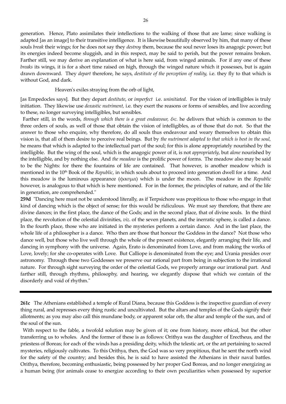generation. Hence, Plato assimilates their intellections to the walking of those that are lame; since walking is adapted [as an image] to their transitive intelligence. It is likewise beautifully observed by him, that many of these souls *break* their wings; for he does not say they *destroy* them, because the soul never loses its anagogic power; but its energies indeed become sluggish, and in this respect, may be said to perish, but the power remains broken. Farther still, we may derive an explanation of what is here said, from winged animals. For if any one of these *breaks* its wings, it is for a short time raised on high, through the winged nature which it possesses, but is again drawn downward. They *depart* therefore, he says, *destitute of the perception of reality,* i.e. they fly to that which is without God, and dark.

Heaven's exiles straying from the orb of light,

[as Empedocles says]. But they depart *destitute*, or *imperfect* i.e. *uninitiated*. For the vision of intelligibles is truly initiation. They likewise use *doxastic nutriment,* i.e. they exert the reasons or forms of sensibles, and live according to these, no longer surveying intelligibles, but sensibles.

 Farther still, in the words, *through which there is a great endeavour, &c.* he delivers that which is common to the three orders of souls, as well of those that obtain the vision of intelligibles, as of those that do not. So that the answer to those who enquire, why therefore, do all souls thus endeavour and weary themselves to obtain this vision is, that all of them desire to perceive real beings. But by *the nutriment adapted to that which is best in the soul,* he means that which is adapted to the intellectual part of the soul; for this is alone appropriately nourished by the intelligible. But the wing of the soul, which is the anagogic power of it, is not *appropriately*, but *alone* nourished by the intelligible, and by nothing else. And *the meadow* is the prolific power of forms. The meadow also may be said to be the Nights: for there the fountains of life are contained. That however, is another meadow which is mentioned in the 10<sup>th</sup> Book of the *Republic*, in which souls about to proceed into generation dwell for a time. And this meadow is the luminous appearance (φασμα) which is under the moon. The meadow in the *Republic* however, is analogous to that which is here mentioned. For in the former, the principles of nature, and of the life in generation, are comprehended."

**259d** "Dancing here must not be understood literally, as if Terpsichore was propitious to those who engage in that kind of dancing which is the object of sense; for this would be ridiculous. We must say therefore, that there are divine dances; in the first place, the dance of the Gods; and in the second place, that of divine souls. In the third place, the revolution of the celestial divinities, *viz*. of the seven planets, and the inerratic sphere, is called a dance. In the fourth place, those who are initiated in the mysteries perform a certain dance. And in the last place, the whole life of a philosopher is a dance. Who then are those that honour the Goddess in the dance? Not those who dance well, but those who live well through the whole of the present existence, elegantly arranging their life, and dancing in symphony with the universe. Again, Erato is denominated from Love, and from making the works of Love, lovely; for she co-operates with Love. But Calliope is denominated from the eye; and Urania presides over astronomy. Through these two Goddesses we preserve our rational part from being in subjection to the irrational nature. For through sight surveying the order of the celestial Gods, we properly arrange our irrational part. And farther still, through rhythms, philosophy, and hearing, we elegantly dispose that which we contain of the disorderly and void of rhythm."

**261c** The Athenians established a temple of Rural Diana, because this Goddess is the inspective guardian of every thing rural, and represses every thing rustic and uncultivated. But the altars and temples of the Gods signify their allotments; as you may also call this mundane body, or apparent solar orb, the altar and temple of the sun, and of the soul of the sun.

With respect to the fable, a twofold solution may be given of it; one from history, more ethical, but the other transferring us to wholes. And the former of these is as follows: Orithya was the daughter of Erectheus, and the priestess of Boreas; for each of the winds has a presiding deity, which the telestic art, or the art pertaining to sacred mysteries, religiously cultivates. To this Orithya, then, the God was so very propitious, that he sent the north wind for the safety of the country; and besides this, he is said to have assisted the Athenians in their naval battles. Orithya, therefore, becoming enthusiastic, being possessed by her proper God Boreas, and no longer energizing as a human being (for animals cease to energize according to their own peculiarities when possessed by superior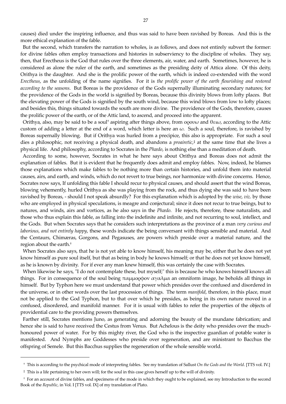causes) died under the inspiring influence, and thus was said to have been ravished by Boreas. And this is the more ethical explanation of the fable.

 But the second, which transfers the narration to wholes, is as follows, and does not entirely subvert the former: for divine fables often employ transactions and histories in subserviency to the discipline of wholes. They say, then, that Erectheus is the God that rules over the three elements, air, water, and earth. Sometimes, however, he is considered as alone the ruler of the earth, and sometimes as the presiding deity of Attica alone. Of this deity, Orithya is the daughter. And she is the prolific power of the earth, which is indeed co-extended with the word *Erectheus*, as the unfolding of the name signifies. For it is *the prolific power of the earth flourishing and restored according to the seasons*. But Boreas is the providence of the Gods supernally illuminating secondary natures; for the providence of the Gods in the world is signified by Boreas, because this divinity blows from lofty places. But the elevating power of the Gods is signified by the south wind, because this wind blows from low to lofty places; and besides this, things situated towards the south are more divine. The providence of the Gods, therefore, causes the prolific power of the earth, or of the Attic land, to ascend, and proceed into the apparent.

Orithya, also, may be said to be a soul<sup>†</sup> aspiring after things above, from ορουω and θειω, according to the Attic custom of adding a letter at the end of a word, which letter is here an  $\omega$ . Such a soul, therefore, is ravished by Boreas supernally blowing. But if Orithya was hurled from a precipice, this also is appropriate. For such a soul dies a philosophic, not receiving a physical death, and abandons a *proairetic*, ‡ at the same time that she lives a physical life. And philosophy, according to Socrates in the *Phædo*, is nothing else than a meditation of death.

 According to some, however, Socrates in what he here says about Orithya and Boreas does not admit the explanation of fables. But it is evident that he frequently does admit and employ fables. Now, indeed, he blames those explanations which make fables to be nothing more than certain histories, and unfold them into material causes, airs, and earth, and winds, which do not revert to true beings, nor harmonize with divine concerns. Hence, Socrates now says, If unfolding this fable I should recur to physical causes, and should assert that the wind Boreas, blowing vehemently, hurled Orithya as she was playing from the rock, and thus dying she was said to have been ravished by Boreas, - should I not speak absurdly? For this explanation which is adopted by the *wise*, *viz*. by those who are employed in physical speculations, is meagre and conjectural; since it does not recur to true beings, but to natures, and winds, airs and vortices, as he also says in the *Phædo*. He rejects, therefore, these naturalists, and those who thus explain this fable, as falling into the indefinite and infinite, and not recurring to soul, intellect, and the Gods. But when Socrates says that he considers such interpretations as the province of a man *very curious and laborious, and not entirely happy*, these words indicate the being conversant with things sensible and material. And the Centaurs, Chimæras, Gorgons, and Pegasuses, are powers which preside over a material nature, and the region about the earth.†

 When Socrates also says, that he is not yet able to know himself, his meaning may be, either that he does not yet know himself as pure soul itself, but that as being in body he knows himself; or that he does not yet know himself, as he is known by divinity. For if ever any man knew himself, this was certainly the case with Socrates.

 When likewise he says, "I do not contemplate these, but myself;" this is because he who knows himself knows all things. For in consequence of the soul being παμμορφον αγαλμα an omniform image, he beholds all things in himself. But by Typhon here we must understand that power which presides over the confused and disordered in the universe, or in other words over the last procession of things. The term *manifold*, therefore, in this place, must not be applied to the God Typhon, but to that over which he presides, as being in its own nature moved in a confused, disordered, and manifold manner. For it is usual with fables to refer the properties of the objects of providential care to the providing powers themselves.

 Farther still, Socrates mentions Juno, as generating and adorning the beauty of the mundane fabrication; and hence she is said to have received the Cestus from Venus. But Achelous is the deity who presides over the muchhonoured power of water. For by this mighty river, the God who is the inspective guardian of potable water is manifested. And Nymphs are Goddesses who preside over regeneration, and are ministrant to Bacchus the offspring of Semele. But this Bacchus supplies the regeneration of the whole sensible world.

† This is according to the psychical mode of interpreting fables. See my translation of Sallust *On the Gods and the World*. [TTS vol. IV.]

‡ This is a life pertaining to her own will; for the soul in this case gives herself up to the will of divinity.

† For an account of divine fables, and specimens of the mode in which they ought to be explained, see my Introduction to the second Book of the *Republic*, in Vol. I [TTS vol. IX] of my translation of Plato.